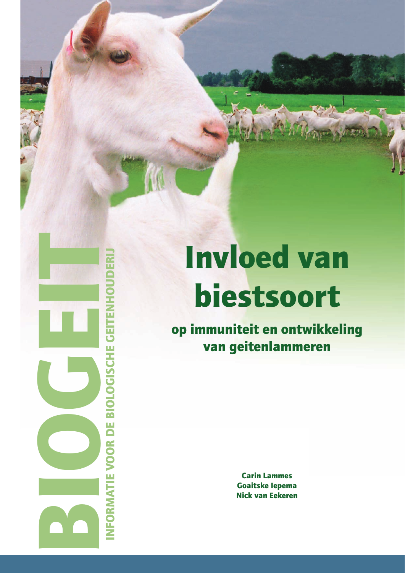# #0( INFORMATIE VOOR DE BIOLOGISCHE GEITENHOUDERIJ NFORMATIE VOOR DE BIOLOGISCHE GEITEN

# Invloed van biestsoort

op immuniteit en ontwikkeling van geitenlammeren

> Carin Lammes Goaitske Iepema Nick van Eekeren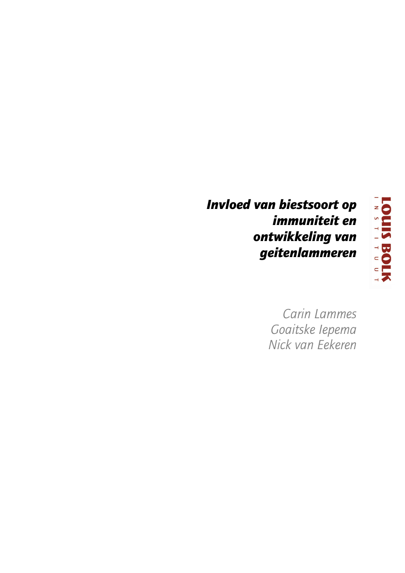# **Invloed van biestsoort op** immuniteit en ontwikkeling van geitenlammeren



Carin Lammes Goaitske lepema Nick van Eekeren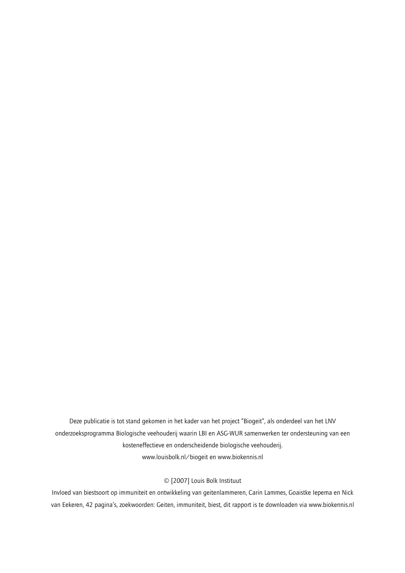Deze publicatie is tot stand gekomen in het kader van het project "Biogeit", als onderdeel van het LNV onderzoeksprogramma Biologische veehouderij waarin LBI en ASG-WUR samenwerken ter ondersteuning van een kosteneffectieve en onderscheidende biologische veehouderij. www.louisbolk.nl/biogeit en www.biokennis.nl

# © [2007] Louis Bolk Instituut

Invloed van biestsoort op immuniteit en ontwikkeling van geitenlammeren, Carin Lammes, Goaistke Iepema en Nick van Eekeren, 42 pagina's, zoekwoorden: Geiten, immuniteit, biest, dit rapport is te downloaden via www.biokennis.nl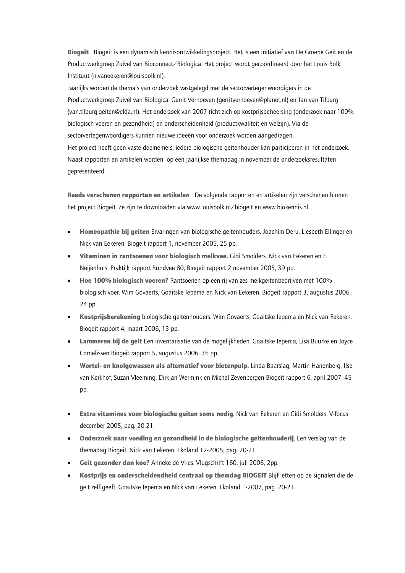Biogeit Biogeit is een dynamisch kennisontwikkelingsproject. Het is een initiatief van De Groene Geit en de Productwerkgroep Zuivel van Bioconnect/Biologica. Het project wordt gecoördineerd door het Louis Bolk Instituut (n.vaneekeren@louisbolk.nl).

Jaarlijks worden de thema's van onderzoek vastgelegd met de sectorvertegenwoordigers in de Productwerkgroep Zuivel van Biologica: Gerrit Verhoeven (gerritverhoeven@planet.nl) en Jan van Tilburg (van.tilburg.geiten@elda.nl). Het onderzoek van 2007 richt zich op kostprijsbeheersing (onderzoek naar 100% biologisch voeren en gezondheid) en onderscheidenheid (productkwaliteit en welzijn). Via de sectorvertegenwoordigers kunnen nieuwe ideeën voor onderzoek worden aangedragen. Het project heeft geen vaste deelnemers, iedere biologische geitenhouder kan participeren in het onderzoek. Naast rapporten en artikelen worden op een jaarlijkse themadag in november de onderzoeksresultaten gepresenteerd.

Reeds verschenen rapporten en artikelen De volgende rapporten en artikelen zijn verschenen binnen het project Biogeit. Ze zijn te downloaden via www.louisbolk.nl/biogeit en www.biokennis.nl.

- Homeopathie bij geiten Ervaringen van biologische geitenhouders. Joachim Deru, Liesbeth Ellinger en Nick van Eekeren. Biogeit rapport 1, november 2005, 25 pp.
- Vitaminen in rantsoenen voor biologisch melkvee. Gidi Smolders, Nick van Eekeren en F. Neijenhuis. Praktijk rapport Rundvee 80, Biogeit rapport 2 november 2005, 39 pp.
- Hoe 100% biologisch voeren? Rantsoenen op een rij van zes melkgeitenbedrijven met 100% biologisch voer. Wim Govaerts, Goaitske lepema en Nick van Eekeren. Biogeit rapport 3, augustus 2006, 24 pp.
- Kostprijsberekening biologische geitenhouders. Wim Govaerts, Goaitske lepema en Nick van Eekeren. Biogeit rapport 4, maart 2006, 13 pp.
- Lammeren bij de geit Een inventarisatie van de mogelijkheden. Goaitske Iepema, Lisa Buurke en Joyce Cornelissen Biogeit rapport 5, augustus 2006, 36 pp.
- Wortel- en knolgewassen als alternatief voor bietenpulp. Linda Baarslag, Martin Hanenberg, Ilse van Kerkhof, Suzan Vleeming, Dirkjan Wermink en Michel Zevenbergen Biogeit rapport 6, april 2007, 45 pp.
- Extra vitamines voor biologische geiten soms nodig. Nick van Eekeren en Gidi Smolders. V-focus december 2005, pag. 20-21.
- Onderzoek naar voeding en gezondheid in de biologische geitenhouderij. Een verslag van de themadaq Bioqeit. Nick van Eekeren. Ekoland 12-2005, pag. 20-21.
- Geit gezonder dan koe? Anneke de Vries. Vlugschrift 160, juli 2006, 2pp.
- Kostprijs en onderscheidendheid centraal op themdag BIOGEIT Blijf letten op de signalen die de geit zelf geeft. Goaitske Iepema en Nick van Eekeren. Ekoland 1-2007, pag. 20-21.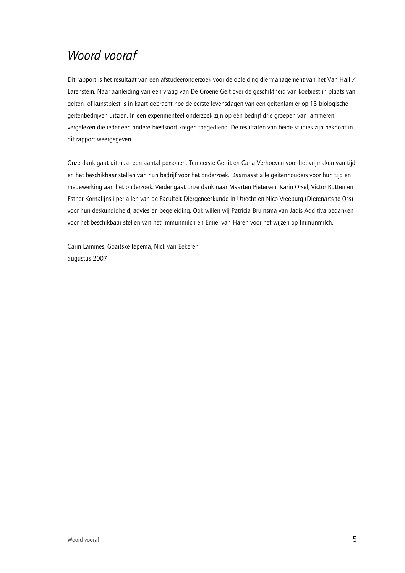# Woord vooraf

Dit rapport is het resultaat van een afstudeeronderzoek voor de opleiding diermanagement van het Van Hall / Larenstein. Naar aanleiding van een vraag van De Groene Geit over de geschiktheid van koebiest in plaats van geiten- of kunstbiest is in kaart gebracht hoe de eerste levensdagen van een geitenlam er op 13 biologische geitenbedrijven uitzien. In een experimenteel onderzoek zijn op één bedrijf drie groepen van lammeren vergeleken die ieder een andere biestsoort kregen toegediend. De resultaten van beide studies zijn beknopt in dit rapport weergegeven.

Onze dank gaat uit naar een aantal personen. Ten eerste Gerrit en Carla Verhoeven voor het vrijmaken van tijd en het beschikbaar stellen van hun bedrijf voor het onderzoek. Daarnaast alle geitenhouders voor hun tijd en medewerking aan het onderzoek. Verder gaat onze dank naar Maarten Pietersen, Karin Orsel, Victor Rutten en Esther Kornalijnslijper allen van de Faculteit Diergeneeskunde in Utrecht en Nico Vreeburg (Dierenarts te Oss) voor hun deskundigheid, advies en begeleiding. Ook willen wij Patricia Bruinsma van Jadis Additiva bedanken voor het beschikbaar stellen van het Immunmilch en Emiel van Haren voor het wijzen op Immunmilch.

Carin Lammes, Goaitske Iepema, Nick van Eekeren augustus 2007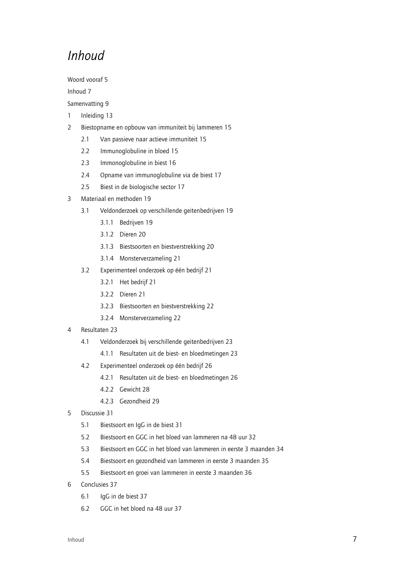# Inhoud

Woord vooraf 5

Inhoud 7

Samenvatting 9

- Inleiding 13  $\mathbf{1}$
- $\overline{2}$ Biestopname en opbouw van immuniteit bij lammeren 15
	- $2.1$ Van passieve naar actieve immuniteit 15
	- $2.2$ Immunoglobuline in bloed 15
	- $23$ Immonoglobuline in biest 16
	- $2.4$ Opname van immunoglobuline via de biest 17
	- $2.5$ Biest in de biologische sector 17
- Materiaal en methoden 19  $\overline{3}$ 
	- $3.1$ Veldonderzoek op verschillende geitenbedrijven 19
		- 3.1.1 Bedrijven 19
		- 3.1.2 Dieren 20
		- 3.1.3 Biestsoorten en biestverstrekking 20
		- 3.1.4 Monsterverzameling 21
	- $3.2$ Experimenteel onderzoek op één bedrijf 21
		- 3.2.1 Het bedrijf 21
		- 3.2.2 Dieren 21
		- 3.2.3 Biestsoorten en biestverstrekking 22
		- 3.2.4 Monsterverzameling 22
- Resultaten 23  $\overline{4}$ 
	- $4.1$ Veldonderzoek bij verschillende geitenbedrijven 23
		- 4.1.1 Resultaten uit de biest- en bloedmetingen 23
	- $4.2$ Experimenteel onderzoek op één bedrijf 26
		- 4.2.1 Resultaten uit de biest- en bloedmetingen 26
		- 4.2.2 Gewicht 28
		- 4.2.3 Gezondheid 29
- Discussie 31 5
	- $5.1$ Biestsoort en IgG in de biest 31
	- $5.2$ Biestsoort en GGC in het bloed van lammeren na 48 uur 32
	- $5.3$ Biestsoort en GGC in het bloed van lammeren in eerste 3 maanden 34
	- Biestsoort en gezondheid van lammeren in eerste 3 maanden 35  $5.4$
	- $5.5$ Biestsoort en groei van lammeren in eerste 3 maanden 36
- 6 Conclusies 37
	- $6.1$ laG in de biest 37
	- $6.2$ GGC in het bloed na 48 uur 37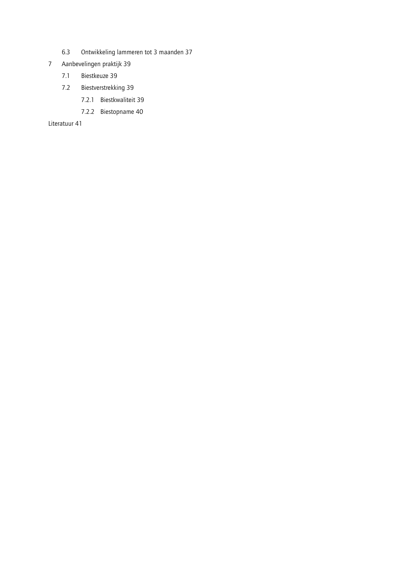- $6.3\,$ Ontwikkeling lammeren tot 3 maanden 37
- Aanbevelingen praktijk 39  $\overline{7}$ 
	- $7.1$ Biestkeuze 39
	- Biestverstrekking 39  $7.2$ 
		- 7.2.1 Biestkwaliteit 39
		- 7.2.2 Biestopname 40

Literatuur 41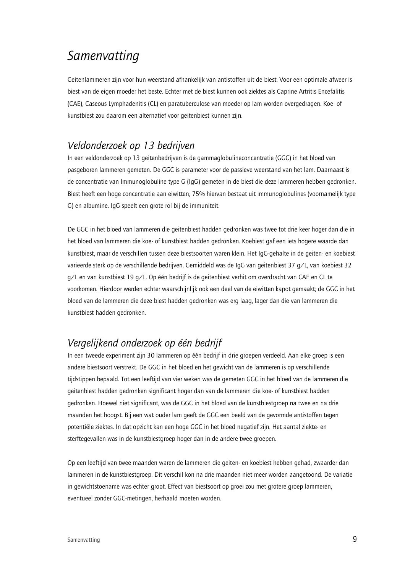# Samenvatting

Geitenlammeren zijn voor hun weerstand afhankelijk van antistoffen uit de biest. Voor een optimale afweer is biest van de eigen moeder het beste. Echter met de biest kunnen ook ziektes als Caprine Artritis Encefalitis (CAE). Caseous Lymphadenitis (CL) en paratuberculose van moeder op lam worden overgedragen. Koe- of kunstbiest zou daarom een alternatief voor geitenbiest kunnen zijn.

# Veldonderzoek op 13 bedrijven

In een veldonderzoek op 13 geitenbedrijven is de gammaglobulineconcentratie (GGC) in het bloed van pasgeboren lammeren gemeten. De GGC is parameter voor de passieve weerstand van het lam. Daarnaast is de concentratie van Immunoglobuline type G (IgG) gemeten in de biest die deze lammeren hebben gedronken. Biest heeft een hoge concentratie aan eiwitten, 75% hiervan bestaat uit immunoglobulines (voornamelijk type G) en albumine. IgG speelt een grote rol bij de immuniteit.

De GGC in het bloed van lammeren die geitenbiest hadden gedronken was twee tot drie keer hoger dan die in het bloed van lammeren die koe- of kunstbiest hadden gedronken. Koebiest gaf een iets hogere waarde dan kunstbiest, maar de verschillen tussen deze biestsoorten waren klein. Het IqG-gehalte in de geiten- en koebiest varieerde sterk op de verschillende bedrijven. Gemiddeld was de IgG van geitenbiest 37 g/L, van koebiest 32 g/L en van kunstbiest 19 g/L. Op één bedrijf is de geitenbiest verhit om overdracht van CAE en CL te voorkomen. Hierdoor werden echter waarschijnlijk ook een deel van de eiwitten kapot gemaakt; de GGC in het bloed van de lammeren die deze biest hadden gedronken was erg laag, lager dan die van lammeren die kunstbiest hadden gedronken.

# Vergelijkend onderzoek op één bedrijf

In een tweede experiment zijn 30 lammeren op één bedrijf in drie groepen verdeeld. Aan elke groep is een andere biestsoort verstrekt. De GGC in het bloed en het gewicht van de lammeren is op verschillende tijdstippen bepaald. Tot een leeftijd van vier weken was de gemeten GGC in het bloed van de lammeren die geitenbiest hadden gedronken significant hoger dan van de lammeren die koe- of kunstbiest hadden gedronken. Hoewel niet significant, was de GGC in het bloed van de kunstbiestgroep na twee en na drie maanden het hoogst. Bij een wat ouder lam geeft de GGC een beeld van de gevormde antistoffen tegen potentiële ziektes. In dat opzicht kan een hoge GGC in het bloed negatief zijn. Het aantal ziekte- en sterftegevallen was in de kunstbiestgroep hoger dan in de andere twee groepen.

Op een leeftijd van twee maanden waren de lammeren die geiten- en koebiest hebben gehad, zwaarder dan lammeren in de kunstbiestgroep. Dit verschil kon na drie maanden niet meer worden aangetoond. De variatie in gewichtstoename was echter groot. Effect van biestsoort op groei zou met grotere groep lammeren, eventueel zonder GGC-metingen, herhaald moeten worden.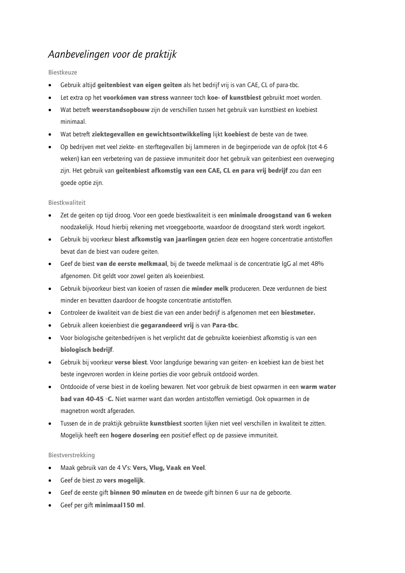# Aanbevelingen voor de praktijk

### **Biestkeuze**

- Gebruik altijd geitenbiest van eigen geiten als het bedrijf vrij is van CAE, CL of para-tbc.
- Let extra op het voorkómen van stress wanneer toch koe- of kunstbiest gebruikt moet worden.
- Wat betreft weerstandsopbouw zijn de verschillen tussen het gebruik van kunstbiest en koebiest minimaal.
- Wat betreft ziektegevallen en gewichtsontwikkeling lijkt koebiest de beste van de twee.
- Op bedrijven met veel ziekte- en sterftegevallen bij lammeren in de beginperiode van de opfok (tot 4-6 weken) kan een verbetering van de passieve immuniteit door het gebruik van geitenbiest een overweging zijn. Het gebruik van geitenbiest afkomstig van een CAE, CL en para vrij bedrijf zou dan een goede optie zijn.

### **Biestkwaliteit**

- Zet de geiten op tijd droog. Voor een goede biestkwaliteit is een minimale droogstand van 6 weken noodzakelijk. Houd hierbij rekening met vroeggeboorte, waardoor de droogstand sterk wordt ingekort.
- Gebruik bij voorkeur biest afkomstig van jaarlingen gezien deze een hogere concentratie antistoffen bevat dan de biest van oudere geiten.
- Geef de biest van de eerste melkmaal, bij de tweede melkmaal is de concentratie IgG al met 48%  $\bullet$ afgenomen. Dit geldt voor zowel geiten als koeienbiest.
- Gebruik bijvoorkeur biest van koeien of rassen die minder melk produceren. Deze verdunnen de biest  $\bullet$ minder en bevatten daardoor de hoogste concentratie antistoffen.
- Controleer de kwaliteit van de biest die van een ander bedrijf is afgenomen met een biestmeter.
- Gebruik alleen koeienbiest die gegarandeerd vrij is van Para-tbc.
- Voor biologische geitenbedrijven is het verplicht dat de gebruikte koeienbiest afkomstig is van een biologisch bedrijf.
- Gebruik bij voorkeur verse biest. Voor langdurige bewaring van geiten- en koebiest kan de biest het beste ingevroren worden in kleine porties die voor gebruik ontdooid worden.
- Ontdooide of verse biest in de koeling bewaren. Net voor gebruik de biest opwarmen in een warm water **bad van 40-45 °C.** Niet warmer want dan worden antistoffen vernietigd. Ook opwarmen in de magnetron wordt afgeraden.
- Tussen de in de praktijk gebruikte kunstbiest soorten lijken niet veel verschillen in kwaliteit te zitten. Mogelijk heeft een hogere dosering een positief effect op de passieve immuniteit.

### Biestverstrekking

- Maak gebruik van de 4 V's: Vers, Vlug, Vaak en Veel.
- Geef de biest zo vers mogelijk.
- Geef de eerste gift binnen 90 minuten en de tweede gift binnen 6 uur na de geboorte.
- Geef per gift minimaal150 ml.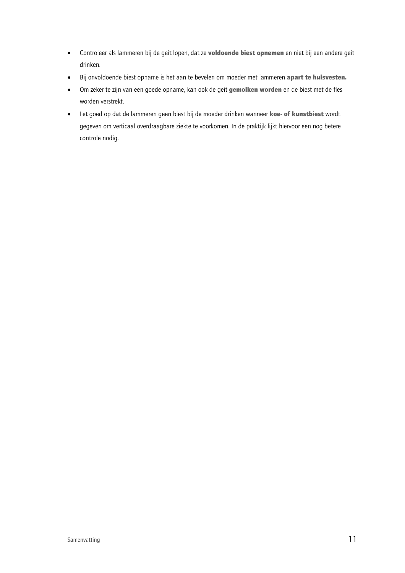- Controleer als lammeren bij de geit lopen, dat ze voldoende biest opnemen en niet bij een andere geit  $\bullet$ drinken.
- Bij onvoldoende biest opname is het aan te bevelen om moeder met lammeren apart te huisvesten.  $\bullet$
- Om zeker te zijn van een goede opname, kan ook de geit gemolken worden en de biest met de fles worden verstrekt.
- Let goed op dat de lammeren geen biest bij de moeder drinken wanneer koe- of kunstbiest wordt  $\bullet$ gegeven om verticaal overdraagbare ziekte te voorkomen. In de praktijk lijkt hiervoor een nog betere controle nodig.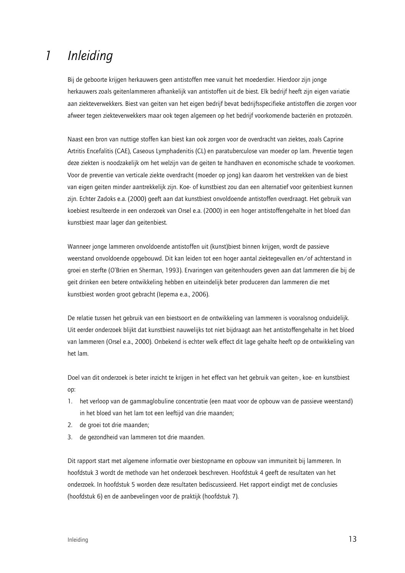### Inleiding  $\mathcal{I}$

Bij de geboorte krijgen herkauwers geen antistoffen mee vanuit het moederdier. Hierdoor zijn jonge herkauwers zoals geitenlammeren afhankelijk van antistoffen uit de biest. Elk bedrijf heeft zijn eigen variatie aan ziekteverwekkers. Biest van geiten van het eigen bedrijf bevat bedrijfsspecifieke antistoffen die zorgen voor afweer tegen ziekteverwekkers maar ook tegen algemeen op het bedrijf voorkomende bacteriën en protozoën.

Naast een bron van nuttige stoffen kan biest kan ook zorgen voor de overdracht van ziektes, zoals Caprine Artritis Encefalitis (CAE), Caseous Lymphadenitis (CL) en paratuberculose van moeder op lam. Preventie tegen deze ziekten is noodzakelijk om het welzijn van de geiten te handhaven en economische schade te voorkomen. Voor de preventie van verticale ziekte overdracht (moeder op jong) kan daarom het verstrekken van de biest van eigen geiten minder aantrekkelijk zijn. Koe- of kunstbiest zou dan een alternatief voor geitenbiest kunnen zijn. Echter Zadoks e.a. (2000) geeft aan dat kunstbiest onvoldoende antistoffen overdraagt. Het gebruik van koebiest resulteerde in een onderzoek van Orsel e.a. (2000) in een hoger antistoffengehalte in het bloed dan kunstbiest maar lager dan geitenbiest.

Wanneer jonge lammeren onvoldoende antistoffen uit (kunst)biest binnen krijgen, wordt de passieve weerstand onvoldoende opgebouwd. Dit kan leiden tot een hoger aantal ziektegevallen en/of achterstand in groei en sterfte (O'Brien en Sherman, 1993). Ervaringen van geitenhouders geven aan dat lammeren die bij de geit drinken een betere ontwikkeling hebben en uiteindelijk beter produceren dan lammeren die met kunstbiest worden groot gebracht (Iepema e.a., 2006).

De relatie tussen het gebruik van een biestsoort en de ontwikkeling van lammeren is vooralsnog onduidelijk. Uit eerder onderzoek blijkt dat kunstbiest nauwelijks tot niet bijdraagt aan het antistoffengehalte in het bloed van lammeren (Orsel e.a., 2000). Onbekend is echter welk effect dit lage gehalte heeft op de ontwikkeling van het lam.

Doel van dit onderzoek is beter inzicht te krijgen in het effect van het gebruik van geiten-, koe- en kunstbiest op:

- het verloop van de gammaglobuline concentratie (een maat voor de opbouw van de passieve weerstand)  $\mathbf{1}$ in het bloed van het lam tot een leeftijd van drie maanden;
- $2<sub>1</sub>$ de groei tot drie maanden;
- de gezondheid van lammeren tot drie maanden.  $\mathbf{R}$

Dit rapport start met algemene informatie over biestopname en opbouw van immuniteit bij lammeren. In hoofdstuk 3 wordt de methode van het onderzoek beschreven. Hoofdstuk 4 geeft de resultaten van het onderzoek. In hoofdstuk 5 worden deze resultaten bediscussieerd. Het rapport eindigt met de conclusies (hoofdstuk 6) en de aanbevelingen voor de praktijk (hoofdstuk 7).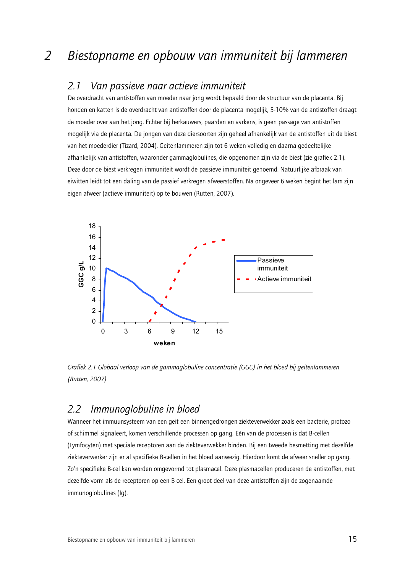#### Van passieve naar actieve immuniteit  $2.1$

De overdracht van antistoffen van moeder naar jong wordt bepaald door de structuur van de placenta. Bij honden en katten is de overdracht van antistoffen door de placenta mogelijk, 5-10% van de antistoffen draagt de moeder over aan het jong. Echter bij herkauwers, paarden en varkens, is geen passage van antistoffen mogelijk via de placenta. De jongen van deze diersoorten zijn geheel afhankelijk van de antistoffen uit de biest van het moederdier (Tizard, 2004). Geitenlammeren zijn tot 6 weken volledig en daarna gedeeltelijke afhankelijk van antistoffen, waaronder gammaglobulines, die opgenomen zijn via de biest (zie grafiek 2.1). Deze door de biest verkregen immuniteit wordt de passieve immuniteit genoemd. Natuurlijke afbraak van eiwitten leidt tot een daling van de passief verkregen afweerstoffen. Na ongeveer 6 weken begint het lam zijn eigen afweer (actieve immuniteit) op te bouwen (Rutten, 2007).



Grafiek 2.1 Globaal verloop van de gammaglobuline concentratie (GGC) in het bloed bij geitenlammeren (Rutten, 2007)

#### Immunoglobuline in bloed  $2.2$

Wanneer het immuunsysteem van een geit een binnengedrongen ziekteverwekker zoals een bacterie, protozo of schimmel signaleert, komen verschillende processen op gang. Eén van de processen is dat B-cellen (Lymfocyten) met speciale receptoren aan de ziekteverwekker binden. Bij een tweede besmetting met dezelfde ziekteverwerker zijn er al specifieke B-cellen in het bloed aanwezig. Hierdoor komt de afweer sneller op gang. Zo'n specifieke B-cel kan worden omgevormd tot plasmacel. Deze plasmacellen produceren de antistoffen, met dezelfde vorm als de receptoren op een B-cel. Een groot deel van deze antistoffen zijn de zogenaamde immunoalobulines (Ia).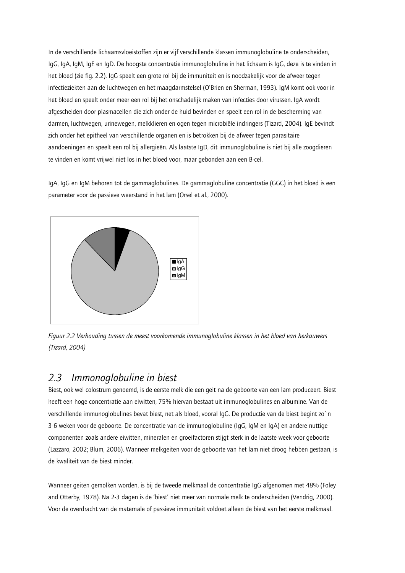In de verschillende lichaamsvloeistoffen zijn er vijf verschillende klassen immunoglobuline te onderscheiden, IqG, IqA, IqM, IqE en IqD. De hoogste concentratie immunoglobuline in het lichaam is IqG, deze is te vinden in het bloed (zie fig. 2.2). IgG speelt een grote rol bij de immuniteit en is noodzakelijk voor de afweer tegen infectieziekten aan de luchtwegen en het maagdarmstelsel (O'Brien en Sherman, 1993). IgM komt ook voor in het bloed en speelt onder meer een rol bij het onschadelijk maken van infecties door virussen. IqA wordt afgescheiden door plasmacellen die zich onder de huid bevinden en speelt een rol in de bescherming van darmen, luchtwegen, urinewegen, melkklieren en ogen tegen microbiële indringers (Tizard, 2004). IgE bevindt zich onder het epitheel van verschillende organen en is betrokken bij de afweer tegen parasitaire aandoeningen en speelt een rol bij allergieën. Als laatste IgD, dit immunoglobuline is niet bij alle zoogdieren te vinden en komt vrijwel niet los in het bloed voor, maar gebonden aan een B-cel.

JgA, JgC en JgM behoren tot de gammaglobulines. De gammaglobuline concentratie (GGC) in het bloed is een parameter voor de passieve weerstand in het lam (Orsel et al., 2000).



Figuur 2.2 Verhouding tussen de meest voorkomende immunoglobuline klassen in het bloed van herkauwers (Tizard, 2004)

#### Immonoglobuline in biest  $23$

Biest, ook wel colostrum genoemd, is de eerste melk die een geit na de geboorte van een lam produceert. Biest heeft een hoge concentratie aan eiwitten, 75% hiervan bestaat uit immunoglobulines en albumine. Van de verschillende immunoglobulines bevat biest, net als bloed, vooral IqG. De productie van de biest begint zo'n 3-6 weken voor de geboorte. De concentratie van de immunoglobuline (IqC, IqM en IqA) en andere nuttige componenten zoals andere eiwitten, mineralen en groeifactoren stijgt sterk in de laatste week voor geboorte (Lazzaro, 2002; Blum, 2006). Wanneer melkgeiten voor de geboorte van het lam niet droog hebben gestaan, is de kwaliteit van de biest minder.

Wanneer geiten gemolken worden, is bij de tweede melkmaal de concentratie IqG afgenomen met 48% (Foley and Otterby, 1978). Na 2-3 dagen is de 'biest' niet meer van normale melk te onderscheiden (Vendrig, 2000). Voor de overdracht van de maternale of passieve immuniteit voldoet alleen de biest van het eerste melkmaal.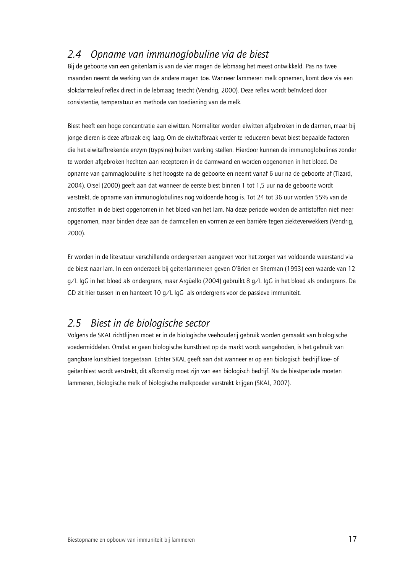#### 24 Opname van immunoalobuline via de biest

Bij de geboorte van een geitenlam is van de vier magen de lebmaag het meest ontwikkeld. Pas na twee maanden neemt de werking van de andere magen toe. Wanneer lammeren melk opnemen, komt deze via een slokdarmsleuf reflex direct in de lebmaag terecht (Vendrig, 2000). Deze reflex wordt beïnvloed door consistentie, temperatuur en methode van toediening van de melk.

Biest heeft een hoge concentratie aan eiwitten. Normaliter worden eiwitten afgebroken in de darmen, maar bij jonge dieren is deze afbraak erg laag. Om de eiwitafbraak verder te reduceren bevat biest bepaalde factoren die het eiwitafbrekende enzym (trypsine) buiten werking stellen. Hierdoor kunnen de immunoglobulines zonder te worden afgebroken hechten aan receptoren in de darmwand en worden opgenomen in het bloed. De opname van gammaglobuline is het hoogste na de geboorte en neemt vanaf 6 uur na de geboorte af (Tizard, 2004). Orsel (2000) geeft aan dat wanneer de eerste biest binnen 1 tot 1,5 uur na de geboorte wordt verstrekt, de opname van immunoglobulines nog voldoende hoog is. Tot 24 tot 36 uur worden 55% van de antistoffen in de biest opgenomen in het bloed van het lam. Na deze periode worden de antistoffen niet meer opgenomen, maar binden deze aan de darmcellen en vormen ze een barrière tegen ziekteverwekkers (Vendrig, 2000).

Er worden in de literatuur verschillende ondergrenzen aangeven voor het zorgen van voldoende weerstand via de biest naar lam. In een onderzoek bij geitenlammeren geven O'Brien en Sherman (1993) een waarde van 12 g/L IgG in het bloed als ondergrens, maar Argüello (2004) gebruikt 8 g/L IgG in het bloed als ondergrens. De GD zit hier tussen in en hanteert 10 g/L lgG als ondergrens voor de passieve immuniteit.

#### Biest in de biologische sector  $25$

Volgens de SKAL richtlijnen moet er in de biologische veehouderij gebruik worden gemaakt van biologische voedermiddelen. Omdat er geen biologische kunstbiest op de markt wordt aangeboden, is het gebruik van gangbare kunstbiest toegestaan. Echter SKAL geeft aan dat wanneer er op een biologisch bedrijf koe- of geitenbiest wordt verstrekt, dit afkomstig moet zijn van een biologisch bedrijf. Na de biestperiode moeten lammeren, biologische melk of biologische melkpoeder verstrekt krijgen (SKAL, 2007).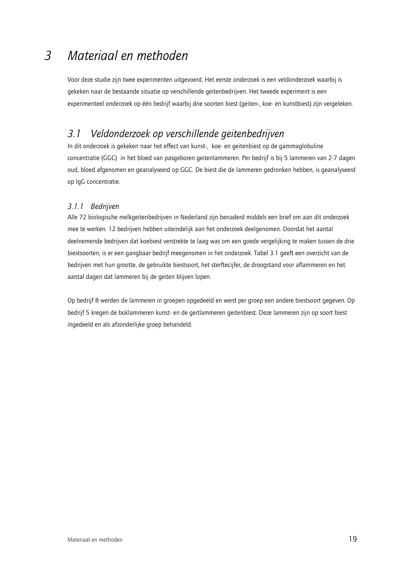### $\overline{3}$ Materiaal en methoden

Voor deze studie zijn twee experimenten uitgevoerd. Het eerste onderzoek is een veldonderzoek waarbij is gekeken naar de bestaande situatie op verschillende geitenbedrijven. Het tweede experiment is een experimenteel onderzoek op één bedriif waarbij drie soorten biest (geiten-, koe- en kunstbiest) zijn vergeleken.

#### Veldonderzoek op verschillende geitenbedrijven  $\overline{3}$   $\overline{1}$

In dit onderzoek is gekeken naar het effect van kunst-, koe- en geitenbiest op de gammaglobuline concentratie (GGC) in het bloed van pasgeboren geitenlammeren. Per bedrijf is bij 5 lammeren van 2-7 dagen oud, bloed afgenomen en geanalyseerd op GGC. De biest die de lammeren gedronken hebben, is geanalyseerd op IgG concentratie.

# 3.1.1 Bedrijven

Alle 72 biologische melkgeitenbedrijven in Nederland zijn benaderd middels een brief om aan dit onderzoek mee te werken. 12 bedrijven hebben uiteindelijk aan het onderzoek deelgenomen. Doordat het aantal deelnemende bedrijven dat koebiest verstrekte te laag was om een goede vergelijking te maken tussen de drie biestsoorten, is er een gangbaar bedrijf meegenomen in het onderzoek. Tabel 3.1 geeft een overzicht van de bedrijven met hun grootte, de gebruikte biestsoort, het sterftecijfer, de droogstand voor aflammeren en het aantal dagen dat lammeren bij de geiten blijven lopen.

Op bedrijf 8 werden de lammeren in groepen opgedeeld en werd per groep een andere biestsoort gegeven. Op bedrijf 5 kregen de boklammeren kunst- en de geitlammeren geitenbiest. Deze lammeren zijn op soort biest ingedeeld en als afzonderlijke groep behandeld.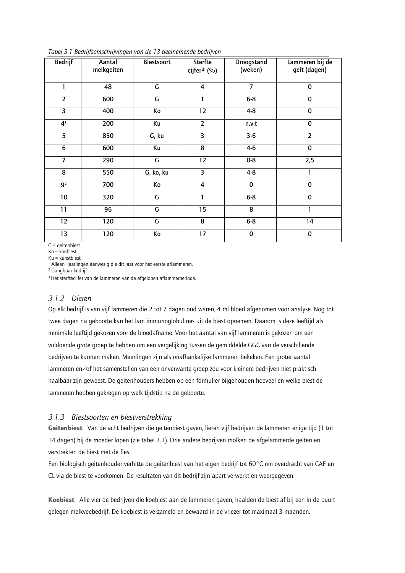| <b>Bedrijf</b>          | Aantal<br>melkgeiten | Biestsoort              | Sterfte<br>cijfer <sup>3</sup> (%) | Droogstand<br>(weken) | Lammeren bij de<br>geit (dagen) |
|-------------------------|----------------------|-------------------------|------------------------------------|-----------------------|---------------------------------|
| 1                       | 48                   | $\mathsf C$             | $\overline{\mathbf{4}}$            | $\overline{7}$        | $\mathbf 0$                     |
| $\overline{2}$          | 600                  | $\overline{G}$          | 1                                  | $6 - 8$               | $\bf{0}$                        |
| $\overline{\mathbf{3}}$ | 400                  | Кo                      | 12                                 | $4 - 8$               | $\mathbf 0$                     |
| 4 <sup>1</sup>          | 200                  | Ku                      | $\overline{2}$                     | n.v.t                 | $\mathbf 0$                     |
| $\overline{5}$          | 850                  | G, ku                   | $\overline{3}$                     | $3-6$                 | $\overline{2}$                  |
| $\overline{6}$          | 600                  | Ku                      | $\overline{8}$                     | $4-6$                 | $\mathbf 0$                     |
|                         | 290                  | $\mathsf C$             | $\overline{12}$                    | $0 - 8$               | 2,5                             |
| 8                       | 550                  | G, ko, ku               | 3                                  | $4 - 8$               | 1                               |
| $\overline{9^2}$        | 700                  | Ko                      | $\overline{4}$                     | $\mathbf 0$           | $\mathbf 0$                     |
| $10$                    | 320                  | G                       | 1                                  | $6 - 8$               | $\mathbf 0$                     |
| 11                      | 96                   | $\mathsf G$             | 15                                 | 8                     | 1                               |
| $\overline{12}$         | 120                  | $\overline{\mathsf{G}}$ | $\overline{8}$                     | $6 - 8$               | 14                              |
| 13                      | 120                  | Ko                      | $\overline{17}$                    | $\pmb{0}$             | $\pmb{0}$                       |

Tabel 3.1 Bedrijfsomschrijvingen van de 13 deelnemende bedrijven

 $G =$  qeitenbiest  $Ko = koebiest$ 

Ku = kunstbiest.

<sup>1</sup> Alleen jaarlingen aanwezig die dit jaar voor het eerste aflammeren.

<sup>2</sup> Gangbaar bedrijf

<sup>3</sup> Het sterftecijfer van de lammeren van de afgelopen aflammerperiode.

### 3.1.2 Dieren

Op elk bedrijf is van vijf lammeren die 2 tot 7 dagen oud waren, 4 ml bloed afgenomen voor analyse. Nog tot twee dagen na geboorte kan het lam immunoglobulines uit de biest opnemen. Daarom is deze leeftijd als minimale leeftijd gekozen voor de bloedafname. Voor het aantal van vijf lammeren is gekozen om een voldoende grote groep te hebben om een vergelijking tussen de gemiddelde GGC van de verschillende bedrijven te kunnen maken. Meerlingen zijn als onafhankelijke lammeren bekeken. Een groter aantal lammeren en/of het samenstellen van een onverwante groep zou voor kleinere bedrijven niet praktisch haalbaar zijn geweest. De geitenhouders hebben op een formulier bijgehouden hoeveel en welke biest de lammeren hebben gekregen op welk tijdstip na de geboorte.

# 3.1.3 Biestsoorten en biestverstrekking

Geitenbiest Van de acht bedrijven die geitenbiest gaven, lieten vijf bedrijven de lammeren enige tijd (1 tot 14 dagen) bij de moeder lopen (zie tabel 3.1). Drie andere bedrijven molken de afgelammerde geiten en verstrekten de biest met de fles.

Een biologisch geitenhouder verhitte de geitenbiest van het eigen bedrijf tot 60°C om overdracht van CAE en CL via de biest te voorkomen. De resultaten van dit bedrijf zijn apart verwerkt en weergegeven.

Koebiest Alle vier de bedrijven die koebiest aan de lammeren gaven, haalden de biest af bij een in de buurt gelegen melkveebedrijf. De koebiest is verzameld en bewaard in de vriezer tot maximaal 3 maanden.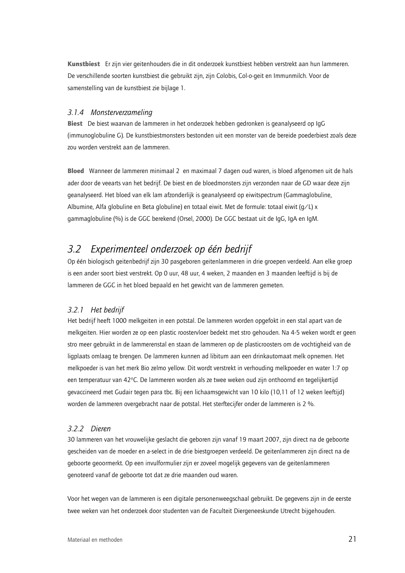Kunstbiest Er zijn vier geitenhouders die in dit onderzoek kunstbiest hebben verstrekt aan hun lammeren. De verschillende soorten kunstbiest die gebruikt zijn, zijn Colobis, Col-o-geit en Immunmilch. Voor de samenstelling van de kunstbiest zie bijlage 1.

## 3.1.4 Monsterverzameling

Biest De biest waarvan de lammeren in het onderzoek hebben gedronken is geanalyseerd op lgG (immunoglobuline G). De kunstbiestmonsters bestonden uit een monster van de bereide poederbiest zoals deze zou worden verstrekt aan de lammeren.

Bloed Wanneer de lammeren minimaal 2 en maximaal 7 dagen oud waren, is bloed afgenomen uit de hals ader door de veearts van het bedrijf. De biest en de bloedmonsters zijn verzonden naar de GD waar deze zijn geanalyseerd. Het bloed van elk lam afzonderlijk is geanalyseerd op eiwitspectrum (Gammaglobuline, Albumine, Alfa globuline en Beta globuline) en totaal eiwit. Met de formule: totaal eiwit (q/L) x gammaglobuline (%) is de GGC berekend (Orsel, 2000). De GGC bestaat uit de IqG, IqA en IqM.

#### Experimenteel onderzoek op één bedrijf  $3.2$

Op één biologisch geitenbedrijf zijn 30 pasgeboren geitenlammeren in drie groepen verdeeld. Aan elke groep is een ander soort biest verstrekt. Op 0 uur, 48 uur, 4 weken, 2 maanden en 3 maanden leeftijd is bij de lammeren de GGC in het bloed bepaald en het gewicht van de lammeren gemeten.

# 3.2.1 Het bedrijf

Het bedrijf heeft 1000 melkgeiten in een potstal. De lammeren worden opgefokt in een stal apart van de melkgeiten. Hier worden ze op een plastic roostervloer bedekt met stro gehouden. Na 4-5 weken wordt er geen stro meer gebruikt in de lammerenstal en staan de lammeren op de plasticroosters om de vochtigheid van de ligplaats omlaag te brengen. De lammeren kunnen ad libitum aan een drinkautomaat melk opnemen. Het melkpoeder is van het merk Bio zelmo yellow. Dit wordt verstrekt in verhouding melkpoeder en water 1:7 op een temperatuur van 42<sup>o</sup>C. De lammeren worden als ze twee weken oud zijn onthoornd en tegelijkertijd gevaccineerd met Gudair tegen para tbc. Bij een lichaamsgewicht van 10 kilo (10,11 of 12 weken leeftijd) worden de lammeren overgebracht naar de potstal. Het sterftecijfer onder de lammeren is 2 %.

# 322 Dieren

30 lammeren van het vrouwelijke geslacht die geboren zijn vanaf 19 maart 2007, zijn direct na de geboorte gescheiden van de moeder en a-select in de drie biestgroepen verdeeld. De geitenlammeren zijn direct na de geboorte geoormerkt. Op een invulformulier zijn er zoveel mogelijk gegevens van de geitenlammeren genoteerd vanaf de geboorte tot dat ze drie maanden oud waren.

Voor het wegen van de lammeren is een digitale personenweegschaal gebruikt. De gegevens zijn in de eerste twee weken van het onderzoek door studenten van de Faculteit Diergeneeskunde Utrecht bijgehouden.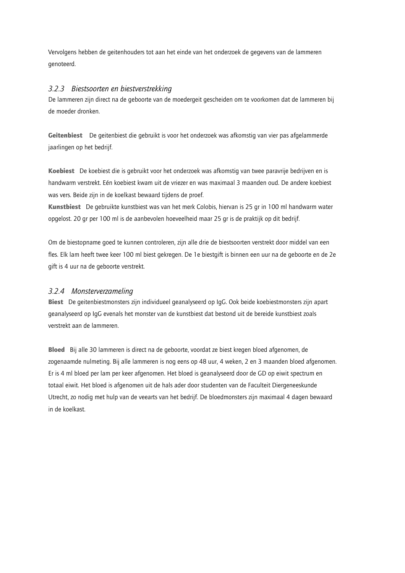Vervolgens hebben de geitenhouders tot aan het einde van het onderzoek de gegevens van de lammeren genoteerd.

# 3.2.3 Biestsoorten en biestverstrekking

De lammeren zijn direct na de geboorte van de moedergeit gescheiden om te voorkomen dat de lammeren bij de moeder dronken.

Geitenbiest De geitenbiest die gebruikt is voor het onderzoek was afkomstig van vier pas afgelammerde jaarlingen op het bedrijf.

Koebiest De koebiest die is gebruikt voor het onderzoek was afkomstig van twee paravrije bedrijven en is handwarm verstrekt. Eén koebiest kwam uit de vriezer en was maximaal 3 maanden oud. De andere koebiest was vers. Beide zijn in de koelkast bewaard tijdens de proef.

Kunstbiest De gebruikte kunstbiest was van het merk Colobis, hiervan is 25 gr in 100 ml handwarm water opgelost. 20 gr per 100 ml is de aanbevolen hoeveelheid maar 25 gr is de praktijk op dit bedrijf.

Om de biestopname goed te kunnen controleren, zijn alle drie de biestsoorten verstrekt door middel van een fles. Elk lam heeft twee keer 100 ml biest gekregen. De 1e biestgift is binnen een uur na de geboorte en de 2e gift is 4 uur na de geboorte verstrekt.

# 3.2.4 Monsterverzameling

Biest De geitenbiestmonsters zijn individueel geanalyseerd op IqG. Ook beide koebiestmonsters zijn apart geanalyseerd op IqG evenals het monster van de kunstbiest dat bestond uit de bereide kunstbiest zoals verstrekt aan de lammeren.

Bloed Bij alle 30 lammeren is direct na de geboorte, voordat ze biest kregen bloed afgenomen, de zogenaamde nulmeting. Bij alle lammeren is nog eens op 48 uur, 4 weken, 2 en 3 maanden bloed afgenomen. Er is 4 ml bloed per lam per keer afgenomen. Het bloed is geanalyseerd door de GD op eiwit spectrum en totaal eiwit. Het bloed is afgenomen uit de hals ader door studenten van de Faculteit Diergeneeskunde Utrecht, zo nodig met hulp van de veearts van het bedrijf. De bloedmonsters zijn maximaal 4 dagen bewaard in de koelkast.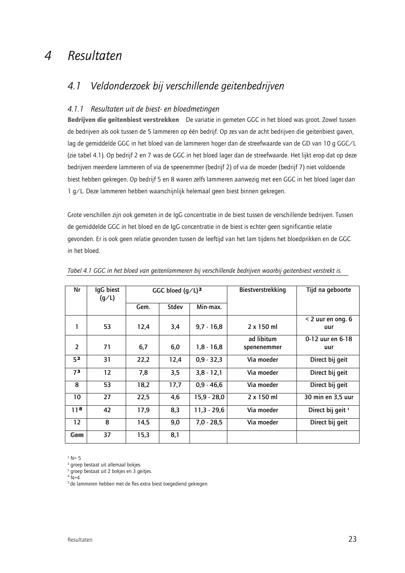#### Resultaten  $\boldsymbol{\mathcal{A}}$

#### Veldonderzoek bij verschillende geitenbedrijven  $4.1$

# 4.1.1 Resultaten uit de biest- en bloedmetingen

Bedrijven die geitenbiest verstrekken De variatie in gemeten GGC in het bloed was groot. Zowel tussen de bedrijven als ook tussen de 5 lammeren op één bedrijf. Op zes van de acht bedrijven die geitenbiest gaven, lag de gemiddelde GGC in het bloed van de lammeren hoger dan de streefwaarde van de GD van 10 g GGC/L (zie tabel 4.1). Op bedrijf 2 en 7 was de GGC in het bloed lager dan de streefwaarde. Het lijkt erop dat op deze bedrijven meerdere lammeren of via de speenemmer (bedrijf 2) of via de moeder (bedrijf 7) niet voldoende biest hebben gekregen. Op bedrijf 5 en 8 waren zelfs lammeren aanwezig met een GGC in het bloed lager dan 1 g/L. Deze lammeren hebben waarschijnlijk helemaal geen biest binnen gekregen.

Grote verschillen zijn ook gemeten in de IgG concentratie in de biest tussen de verschillende bedrijven. Tussen de gemiddelde GGC in het bloed en de IqG concentratie in de biest is echter geen significantie relatie gevonden. Er is ook geen relatie gevonden tussen de leeftijd van het lam tijdens het bloedprikken en de GGC in het bloed.

| Nr                | IqG biest | GGC bloed $(q/L)^2$ |              |               | Biestverstrekking | Tijd na geboorte             |
|-------------------|-----------|---------------------|--------------|---------------|-------------------|------------------------------|
|                   | (g/L)     |                     |              |               |                   |                              |
|                   |           | Gem.                | <b>Stdev</b> | Min-max.      |                   |                              |
|                   |           |                     |              |               |                   | $<$ 2 uur en ong. 6          |
| 1                 | 53        | 12,4                | 3,4          | $9,7 - 16,8$  | $2 \times 150$ ml | uur                          |
|                   |           |                     |              |               | ad libitum        | 0-12 uur en 6-18             |
| $\overline{2}$    | 71        | 6,7                 | 6,0          | $1,8 - 16,8$  | spenenemmer       | uur                          |
| 5 <sup>2</sup>    | 31        | 22,2                | 12,4         | $0,9 - 32,3$  | Via moeder        | Direct bij geit              |
| 73                | 12        | 7,8                 | 3,5          | $3,8 - 12,1$  | Via moeder        | Direct bij geit              |
| 8                 | 53        | 18,2                | 17,7         | $0.9 - 46.6$  | Via moeder        | Direct bij geit              |
| 10                | 27        | 22,5                | 4,6          | $15,9 - 28,0$ | 2 x 150 ml        | 30 min en 3,5 uur            |
| 11 <sup>8</sup>   | 42        | 17,9                | 8,3          | $11,3 - 29,6$ | Via moeder        | Direct bij geit <sup>1</sup> |
| $12 \overline{ }$ | 8         | 14,5                | 9,0          | $7,0 - 28,5$  | Via moeder        | Direct bij geit              |
| Gem               | 37        | 15,3                | 8,1          |               |                   |                              |

Tabel 4.1 GGC in het bloed van geitenlammeren bij verschillende bedrijven waarbij geitenbiest verstrekt is.

 $1 N = 5$ 

<sup>2</sup> groep bestaat uit allemaal bokjes.

<sup>3</sup> groep bestaat uit 2 bokjes en 3 geitjes.

 $4\overline{N}=4$ 

<sup>5</sup> de lammeren hebben met de fles extra biest toegediend gekregen.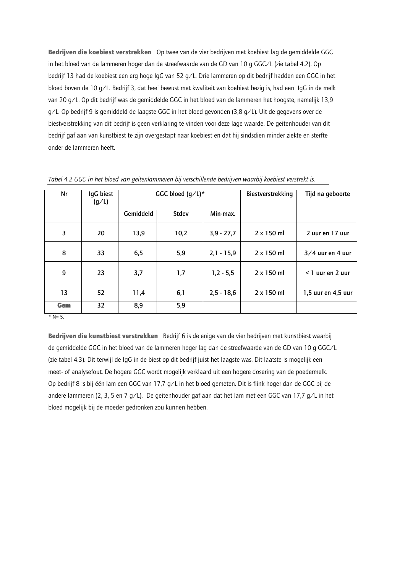Bedrijven die koebiest verstrekken Op twee van de vier bedrijven met koebiest lag de gemiddelde GGC in het bloed van de lammeren hoger dan de streefwaarde van de GD van 10 g GGC/L (zie tabel 4.2). Op bedrijf 13 had de koebiest een erg hoge IgG van 52 g/L. Drie lammeren op dit bedrijf hadden een GGC in het bloed boven de 10 g/L. Bedrijf 3, dat heel bewust met kwaliteit van koebiest bezig is, had een IgG in de melk van 20 g/L. Op dit bedrijf was de gemiddelde GGC in het bloed van de lammeren het hoogste, namelijk 13,9 g/L. Op bedrijf 9 is gemiddeld de laagste GGC in het bloed gevonden (3,8 g/L). Uit de gegevens over de biestverstrekking van dit bedrijf is geen verklaring te vinden voor deze lage waarde. De geitenhouder van dit bedrijf gaf aan van kunstbiest te zijn overgestapt naar koebiest en dat hij sindsdien minder ziekte en sterfte onder de lammeren heeft.

| Nr               | IgG biest<br>(g/L) | GGC bloed $(q/L)^*$ |       |              | Biestverstrekking | Tijd na geboorte   |
|------------------|--------------------|---------------------|-------|--------------|-------------------|--------------------|
|                  |                    | Gemiddeld           | Stdev | Min-max.     |                   |                    |
| 3                | 20                 | 13,9                | 10,2  | $3,9 - 27,7$ | 2 x 150 ml        | 2 uur en 17 uur    |
| 8                | 33                 | 6,5                 | 5,9   | $2,1 - 15,9$ | 2 x 150 ml        | $3/4$ uur en 4 uur |
| 9                | 23                 | 3,7                 | 1,7   | $1,2 - 5,5$  | 2 x 150 ml        | $<$ 1 uur en 2 uur |
| 13               | 52                 | 11,4                | 6,1   | $2,5 - 18,6$ | $2 \times 150$ ml | 1,5 uur en 4,5 uur |
| Gem<br>$*$ N= 5. | 32                 | 8,9                 | 5,9   |              |                   |                    |

Tabel 4.2 GGC in het bloed van geitenlammeren bij verschillende bedrijven waarbij koebiest verstrekt is.

Bedrijven die kunstbiest verstrekken Bedrijf 6 is de enige van de vier bedrijven met kunstbiest waarbij de gemiddelde GGC in het bloed van de lammeren hoger lag dan de streefwaarde van de GD van 10 g GGC/L (zie tabel 4.3). Dit terwijl de IgG in de biest op dit bedrijf juist het laagste was. Dit laatste is mogelijk een meet- of analysefout. De hogere GGC wordt mogelijk verklaard uit een hogere dosering van de poedermelk. Op bedrijf 8 is bij één lam een GGC van 17,7 g/L in het bloed gemeten. Dit is flink hoger dan de GGC bij de andere lammeren (2, 3, 5 en 7 g/L). De geitenhouder gaf aan dat het lam met een GGC van 17,7 g/L in het bloed mogelijk bij de moeder gedronken zou kunnen hebben.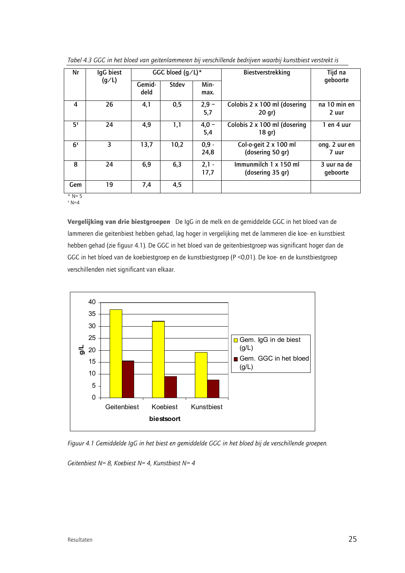| IgG biest<br>Nr | GGC bloed $(g/L)^*$ |        |       | Biestverstrekking | Tijd na                      |               |
|-----------------|---------------------|--------|-------|-------------------|------------------------------|---------------|
|                 | (g/L)               | Gemid- | Stdev | Min-              |                              | qeboorte      |
|                 |                     | deld   |       | max.              |                              |               |
| 4               | 26                  | 4,1    | 0,5   | $2,9 -$           | Colobis 2 x 100 ml (dosering | na 10 min en  |
|                 |                     |        |       | 5,7               | 20 gr)                       | 2 uur         |
| 5 <sup>1</sup>  | 24                  | 4,9    | 1,1   | $4,0 -$           | Colobis 2 x 100 ml (dosering | 1 en 4 uur    |
|                 |                     |        |       | 5,4               | 18 gr)                       |               |
| 6 <sup>1</sup>  | 3                   | 13,7   | 10,2  | $0,9 -$           | Col-o-geit 2 x 100 ml        | ong. 2 uur en |
|                 |                     |        |       | 24,8              | (dosering 50 gr)             | 7 uur         |
| 8               | 24                  | 6,9    | 6,3   | $2,1 -$           | Immunmilch 1 x 150 ml        | 3 uur na de   |
|                 |                     |        |       | 17,7              | (dosering 35 gr)             | geboorte      |
| Gem             | 19                  | 7,4    | 4,5   |                   |                              |               |
| .               |                     |        |       |                   |                              |               |

Tabel 4.3 GGC in het bloed van geitenlammeren bij verschillende bedrijven waarbij kunstbiest verstrekt is

 $*$  N= 5  $1 N=4$ 

Vergelijking van drie biestgroepen De IqG in de melk en de gemiddelde GGC in het bloed van de lammeren die geitenbiest hebben gehad, lag hoger in vergelijking met de lammeren die koe- en kunstbiest hebben gehad (zie figuur 4.1). De GGC in het bloed van de geitenbiestgroep was significant hoger dan de GGC in het bloed van de koebiestgroep en de kunstbiestgroep (P < 0,01). De koe- en de kunstbiestgroep verschillenden niet significant van elkaar.



Figuur 4.1 Gemiddelde IgG in het biest en gemiddelde GGC in het bloed bij de verschillende groepen.

Geitenbiest N= 8, Koebiest N= 4, Kunstbiest N= 4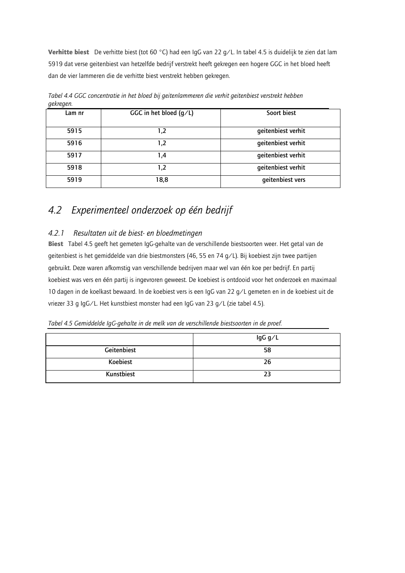Verhitte biest De verhitte biest (tot 60 °C) had een IgG van 22 g/L. In tabel 4.5 is duidelijk te zien dat lam 5919 dat verse geitenbiest van hetzelfde bedrijf verstrekt heeft gekregen een hogere GGC in het bloed heeft dan de vier lammeren die de verhitte biest verstrekt hebben gekregen.

| ◡      |                          |                    |
|--------|--------------------------|--------------------|
| Lam nr | GGC in het bloed $(q/L)$ | Soort biest        |
| 5915   | 1,2                      | geitenbiest verhit |
| 5916   | 1,2                      | geitenbiest verhit |
| 5917   | 4. ا                     | geitenbiest verhit |
| 5918   | 1,2                      | geitenbiest verhit |
| 5919   | 18,8                     | geitenbiest vers   |

Tabel 4.4 GGC concentratie in het bloed bij geitenlammeren die verhit geitenbiest verstrekt hebben aekreaen.

#### Experimenteel onderzoek op één bedrijf 4.2

#### $4.2.1$ Resultaten uit de biest- en bloedmetingen

Biest Tabel 4.5 geeft het gemeten IgG-gehalte van de verschillende biestsoorten weer. Het getal van de geitenbiest is het gemiddelde van drie biestmonsters (46, 55 en 74 g/L). Bij koebiest zijn twee partijen gebruikt. Deze waren afkomstig van verschillende bedrijven maar wel van één koe per bedrijf. En partij koebiest was vers en één partij is ingevroren geweest. De koebiest is ontdooid voor het onderzoek en maximaal 10 dagen in de koelkast bewaard. In de koebiest vers is een IgG van 22 g/L gemeten en in de koebiest uit de vriezer 33 g IgG/L. Het kunstbiest monster had een IgG van 23 g/L (zie tabel 4.5).

Tabel 4.5 Gemiddelde IgG-gehalte in de melk van de verschillende biestsoorten in de proef.

|             | lgG g/L |
|-------------|---------|
| Geitenbiest | 58      |
| Koebiest    | 26      |
| Kunstbiest  | 23      |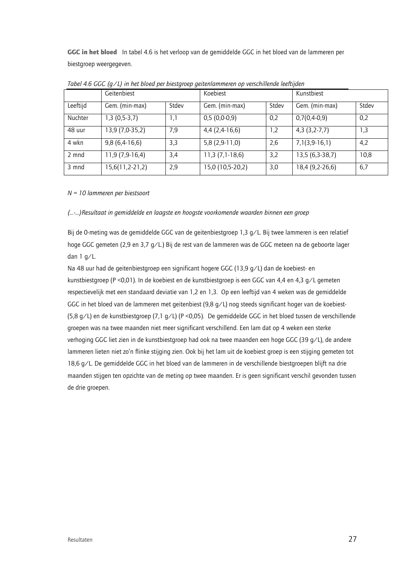GGC in het bloed In tabel 4.6 is het verloop van de gemiddelde GGC in het bloed van de lammeren per biestgroep weergegeven.

|          | Geitenbiest       |       | Koebiest         |       | Kunstbiest      |       |
|----------|-------------------|-------|------------------|-------|-----------------|-------|
| Leeftijd | Gem. (min-max)    | Stdev | Gem. (min-max)   | Stdev | Gem. (min-max)  | Stdev |
| Nuchter  | $1,3(0,5-3,7)$    | 1,1   | 0,5(0,0.0,9)     | 0,2   | $0,7(0,4-0,9)$  | 0,2   |
| 48 uur   | 13,9 (7,0-35,2)   | 7,9   | 4,4 (2,4-16,6)   | 1,2   | $4,3(3,2-7,7)$  | 1,3   |
| 4 wkn    | $9,8(6,4-16,6)$   | 3,3   | $5,8(2,9-11,0)$  | 2,6   | 7,1(3,9.16,1)   | 4,2   |
| 2 mnd    | 11,9 (7,9-16,4)   | 3,4   | $11,3(7,1-18,6)$ | 3,2   | 13,5 (6,3-38,7) | 10,8  |
| 3 mnd    | $15,6(11,2-21,2)$ | 2,9   | 15,0 (10,5-20,2) | 3,0   | 18,4 (9,2-26,6) | 6,7   |

Tabel 4.6 GGC  $(q/l)$  in het bloed per biestgroep geitenlammeren op verschillende leeftijden

# $N = 10$  lammeren per biestsoort

### (...-...)Resultaat in aemiddelde en lagaste en hooaste voorkomende waarden binnen een aroep

Bij de O-meting was de gemiddelde GGC van de geitenbiestgroep 1,3 g/L. Bij twee lammeren is een relatief hoge GGC gemeten (2,9 en 3,7 g/L.) Bij de rest van de lammeren was de GGC meteen na de geboorte lager dan  $1 q/L$ .

Na 48 uur had de geitenbiestgroep een significant hogere GGC (13,9 g/L) dan de koebiest- en kunstbiestgroep (P < 0,01). In de koebiest en de kunstbiestgroep is een GGC van 4,4 en 4,3 g/L gemeten respectievelijk met een standaard deviatie van 1,2 en 1,3. Op een leeftijd van 4 weken was de gemiddelde GGC in het bloed van de lammeren met geitenbiest (9,8 g/L) nog steeds significant hoger van de koebiest-(5,8 g/L) en de kunstbiestgroep (7,1 g/L) (P < 0,05). De gemiddelde GGC in het bloed tussen de verschillende groepen was na twee maanden niet meer significant verschillend. Een lam dat op 4 weken een sterke verhoging GGC liet zien in de kunstbiestgroep had ook na twee maanden een hoge GGC (39 g/L), de andere lammeren lieten niet zo'n flinke stijging zien. Ook bij het lam uit de koebiest groep is een stijging gemeten tot 18,6 g/L. De gemiddelde GGC in het bloed van de lammeren in de verschillende biestgroepen blijft na drie maanden stijgen ten opzichte van de meting op twee maanden. Er is geen significant verschil gevonden tussen de drie groepen.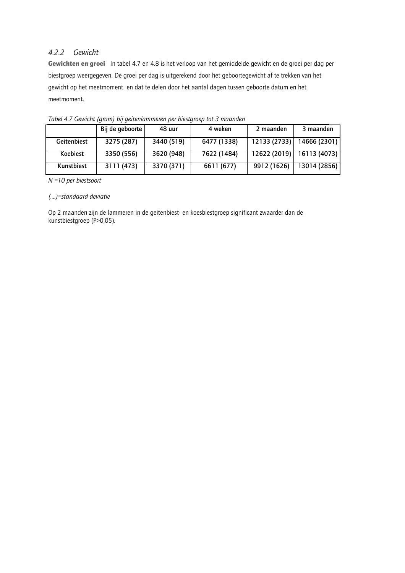# 4.2.2 Gewicht

Gewichten en groei In tabel 4.7 en 4.8 is het verloop van het gemiddelde gewicht en de groei per dag per biestgroep weergegeven. De groei per dag is uitgerekend door het geboortegewicht af te trekken van het gewicht op het meetmoment en dat te delen door het aantal dagen tussen geboorte datum en het meetmoment.

|                 | Bij de geboorte | 48 uur     | 4 weken     | 2 maanden    | 3 maanden                   |
|-----------------|-----------------|------------|-------------|--------------|-----------------------------|
| Geitenbiest     | 3275 (287)      | 3440 (519) | 6477 (1338) | 12133 (2733) | 14666 (2301)                |
| <b>Koebiest</b> | 3350 (556)      | 3620 (948) | 7622 (1484) |              | 12622 (2019)   16113 (4073) |
| Kunstbiest      | 3111 (473)      | 3370 (371) | 6611 (677)  | 9912 (1626)  | 13014 (2856)                |

Tabel 4.7 Gewicht (gram) bij geitenlammeren per biestgroep tot 3 maanden

 $N = 10$  per biestsoort

## (....)=standaard deviatie

Op 2 maanden zijn de lammeren in de geitenbiest- en koesbiestgroep significant zwaarder dan de kunstbiestgroep (P>0,05).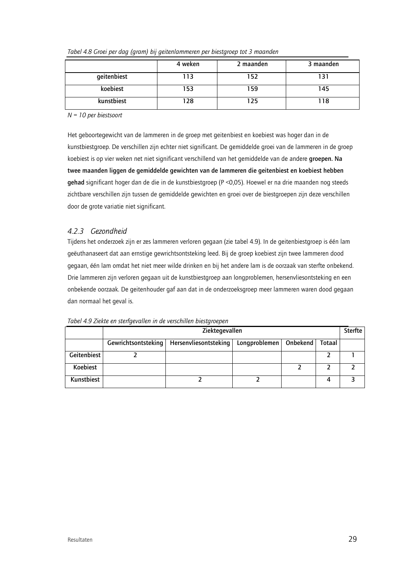|             | 4 weken | 2 maanden | 3 maanden |
|-------------|---------|-----------|-----------|
| geitenbiest | 113     | 152       | 31 ا      |
| koebiest    | 153     | 159       | 145       |
| kunstbiest  | 128     | '25       | l 18      |

Tabel 4.8 Groei per dag (gram) bij geitenlammeren per biestgroep tot 3 maanden

 $N = 10$  per biestsoort

Het geboortegewicht van de lammeren in de groep met geitenbiest en koebiest was hoger dan in de kunstbiestgroep. De verschillen zijn echter niet significant. De gemiddelde groei van de lammeren in de groep koebiest is op vier weken net niet significant verschillend van het gemiddelde van de andere groepen. Na twee maanden liggen de gemiddelde gewichten van de lammeren die geitenbiest en koebiest hebben gehad significant hoger dan de die in de kunstbiestgroep (P <0,05). Hoewel er na drie maanden nog steeds zichtbare verschillen zijn tussen de gemiddelde gewichten en groei over de biestgroepen zijn deze verschillen door de grote variatie niet significant.

# 4.2.3 Gezondheid

Tijdens het onderzoek zijn er zes lammeren verloren gegaan (zie tabel 4.9). In de geitenbiestgroep is één lam geëuthanaseert dat aan ernstige gewrichtsontsteking leed. Bij de groep koebiest zijn twee lammeren dood gegaan, één lam omdat het niet meer wilde drinken en bij het andere lam is de oorzaak van sterfte onbekend. Drie lammeren zijn verloren gegaan uit de kunstbiestgroep aan longproblemen, hersenvliesontsteking en een onbekende oorzaak. De geitenhouder gaf aan dat in de onderzoeksgroep meer lammeren waren dood gegaan dan normaal het geval is.

|             | Ziektegevallen      |                       |               |          |        |  |
|-------------|---------------------|-----------------------|---------------|----------|--------|--|
|             | Gewrichtsontsteking | Hersenvliesontsteking | Longproblemen | Onbekend | Totaal |  |
| Geitenbiest |                     |                       |               |          |        |  |
| Koebiest    |                     |                       |               |          |        |  |
| Kunstbiest  |                     |                       |               |          | 4      |  |

Tabel 4.9 Ziekte en sterfaevallen in de verschillen biestaroepen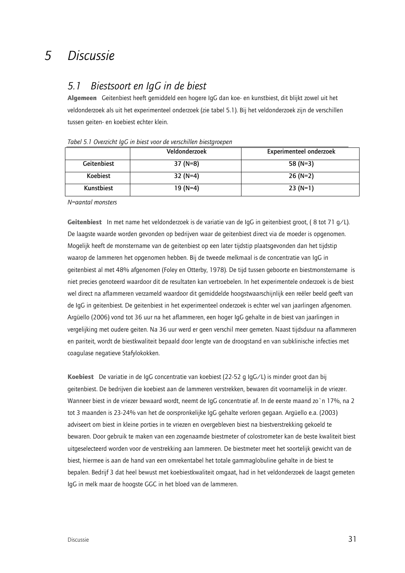#### 5 Discussie

#### Biestsoort en laG in de biest  $5.1$

Algemeen Geitenbiest heeft gemiddeld een hogere IgG dan koe- en kunstbiest, dit blijkt zowel uit het veldonderzoek als uit het experimenteel onderzoek (zie tabel 5.1). Bij het veldonderzoek zijn de verschillen tussen geiten- en koebiest echter klein.

|                 | Veldonderzoek | <b>Experimenteel onderzoek</b> |
|-----------------|---------------|--------------------------------|
| Geitenbiest     | $37(N=8)$     | 58 $(N=3)$                     |
| <b>Koebiest</b> | $32(N=4)$     | $26(N=2)$                      |
| Kunstbiest      | $19(N=4)$     | $23(N=1)$                      |

Tabel 5.1 Overzicht laG in biest voor de verschillen biestaroenen

N=aantal monsters

Geitenbiest In met name het veldonderzoek is de variatie van de IqG in geitenbiest groot, (8 tot 71 g/L). De laagste waarde worden gevonden op bedrijven waar de geitenbiest direct via de moeder is opgenomen. Mogelijk heeft de monstername van de geitenbiest op een later tijdstip plaatsgevonden dan het tijdstip waarop de lammeren het opgenomen hebben. Bij de tweede melkmaal is de concentratie van IqG in geitenbiest al met 48% afgenomen (Foley en Otterby, 1978). De tijd tussen geboorte en biestmonstername is niet precies genoteerd waardoor dit de resultaten kan vertroebelen. In het experimentele onderzoek is de biest wel direct na aflammeren verzameld waardoor dit gemiddelde hoogstwaarschijnlijk een reëler beeld geeft van de IqG in geitenbiest. De geitenbiest in het experimenteel onderzoek is echter wel van jaarlingen afgenomen. Arqüello (2006) vond tot 36 uur na het aflammeren, een hoger IqG gehalte in de biest van jaarlingen in vergelijking met oudere geiten. Na 36 uur werd er geen verschil meer gemeten. Naast tijdsduur na aflammeren en pariteit, wordt de biestkwaliteit bepaald door lengte van de droogstand en van subklinische infecties met coaqulase negatieve Stafylokokken.

**Koebiest** De variatie in de IqG concentratie van koebiest (22-52 q IqG/L) is minder groot dan bij geitenbiest. De bedrijven die koebiest aan de lammeren verstrekken, bewaren dit voornamelijk in de vriezer. Wanneer biest in de vriezer bewaard wordt, neemt de IqG concentratie af. In de eerste maand zo'n 17%, na 2 tot 3 maanden is 23-24% van het de oorspronkelijke IqG gehalte verloren gegaan. Argüello e.a. (2003) adviseert om biest in kleine porties in te vriezen en overgebleven biest na biestverstrekking gekoeld te bewaren. Door gebruik te maken van een zogenaamde biestmeter of colostrometer kan de beste kwaliteit biest uitgeselecteerd worden voor de verstrekking aan lammeren. De biestmeter meet het soortelijk gewicht van de biest, hiermee is aan de hand van een omrekentabel het totale gammaglobuline gehalte in de biest te bepalen. Bedrijf 3 dat heel bewust met koebiestkwaliteit omgaat, had in het veldonderzoek de laagst gemeten IqG in melk maar de hoogste GGC in het bloed van de lammeren.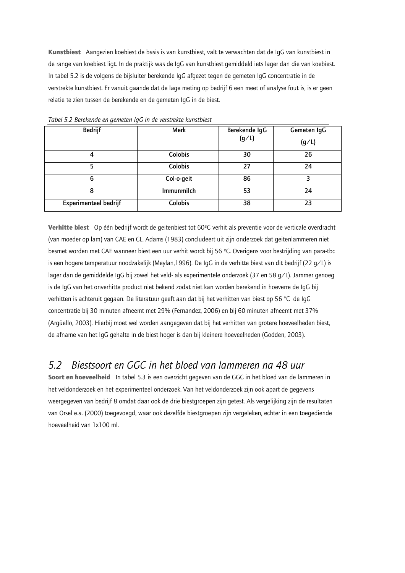Kunstbiest Aangezien koebiest de basis is van kunstbiest, valt te verwachten dat de IgG van kunstbiest in de range van koebiest ligt. In de praktijk was de IgG van kunstbiest gemiddeld iets lager dan die van koebiest. In tabel 5.2 is de volgens de bijsluiter berekende IgG afgezet tegen de gemeten IgG concentratie in de verstrekte kunstbiest. Er vanuit gaande dat de lage meting op bedrijf 6 een meet of analyse fout is, is er geen relatie te zien tussen de berekende en de gemeten IqG in de biest.

| <b>Bedrijf</b>        | Merk       | Berekende IgG<br>(g/L) | Gemeten IqG<br>(g/L) |
|-----------------------|------------|------------------------|----------------------|
| 4                     | Colobis    | 30                     | 26                   |
| 5                     | Colobis    | 27                     | 24                   |
| 6                     | Col-o-geit | 86                     | 3                    |
| 8                     | Immunmilch | 53                     | 24                   |
| Experimenteel bedrijf | Colobis    | 38                     | 23                   |

Tabel 5.2 Berekende en gemeten IqG in de verstrekte kunstbiest

Verhitte biest Op één bedrijf wordt de geitenbiest tot 60°C verhit als preventie voor de verticale overdracht (van moeder op lam) van CAE en CL. Adams (1983) concludeert uit zijn onderzoek dat geitenlammeren niet besmet worden met CAE wanneer biest een uur verhit wordt bij 56 °C. Overigens voor bestrijding van para-tbc is een hogere temperatuur noodzakelijk (Meylan, 1996). De IqG in de verhitte biest van dit bedrijf (22 q/L) is lager dan de gemiddelde IqG bij zowel het veld- als experimentele onderzoek (37 en 58 g/L). Jammer genoeg is de IqG van het onverhitte product niet bekend zodat niet kan worden berekend in hoeverre de IqG bij verhitten is achteruit gegaan. De literatuur geeft aan dat bij het verhitten van biest op 56 °C de IgG concentratie bij 30 minuten afneemt met 29% (Fernandez, 2006) en bij 60 minuten afneemt met 37% (Arqüello, 2003). Hierbij moet wel worden aangegeven dat bij het verhitten van grotere hoeveelheden biest, de afname van het IgG gehalte in de biest hoger is dan bij kleinere hoeveelheden (Godden, 2003).

#### Biestsoort en GGC in het bloed van lammeren na 48 uur  $5.2$

Soort en hoeveelheid In tabel 5.3 is een overzicht gegeven van de GGC in het bloed van de lammeren in het veldonderzoek en het experimenteel onderzoek. Van het veldonderzoek zijn ook apart de gegevens weergegeven van bedrijf 8 omdat daar ook de drie biestgroepen zijn getest. Als vergelijking zijn de resultaten van Orsel e.a. (2000) toegevoegd, waar ook dezelfde biestgroepen zijn vergeleken, echter in een toegediende hoeveelheid van 1x100 ml.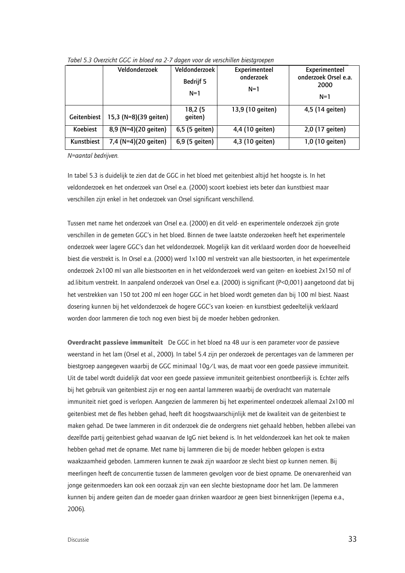|             | Veldonderzoek         | Veldonderzoek<br><b>Bedrijf 5</b><br>$N=1$ | Experimenteel<br>onderzoek<br>$N=1$ | Experimenteel<br>onderzoek Orsel e.a.<br>2000<br>$N=1$ |
|-------------|-----------------------|--------------------------------------------|-------------------------------------|--------------------------------------------------------|
| Geitenbiest | 15,3 (N=8)(39 geiten) | 18,2 (5<br>qeiten)                         | 13,9 (10 geiten)                    | 4,5 (14 geiten)                                        |
| Koebiest    | 8,9 (N=4)(20 geiten)  | 6,5 (5 geiten)                             | 4,4 (10 geiten)                     | 2,0 (17 geiten)                                        |
| Kunstbiest  | 7,4 (N=4)(20 geiten)  | 6,9 (5 geiten)                             | 4,3 (10 geiten)                     | 1,0 (10 geiten)                                        |

Tabel 5.3 Overzicht GGC in bloed na 2-7 dagen voor de verschillen biestaroepen

N=aantal bedrijven.

In tabel 5.3 is duidelijk te zien dat de GGC in het bloed met geitenbiest altijd het hoogste is. In het veldonderzoek en het onderzoek van Orsel e.a. (2000) scoort koebiest iets beter dan kunstbiest maar verschillen zijn enkel in het onderzoek van Orsel significant verschillend.

Tussen met name het onderzoek van Orsel e.a. (2000) en dit veld- en experimentele onderzoek zijn grote verschillen in de gemeten GGC's in het bloed. Binnen de twee laatste onderzoeken heeft het experimentele onderzoek weer lagere GGC's dan het veldonderzoek. Mogelijk kan dit verklaard worden door de hoeveelheid biest die verstrekt is. In Orsel e.a. (2000) werd 1x100 ml verstrekt van alle biestsoorten, in het experimentele onderzoek 2x100 ml van alle biestsoorten en in het veldonderzoek werd van geiten- en koebiest 2x150 ml of ad.libitum verstrekt. In aanpalend onderzoek van Orsel e.a. (2000) is significant (P<0,001) aangetoond dat bij het verstrekken van 150 tot 200 ml een hoger GGC in het bloed wordt gemeten dan bij 100 ml biest. Naast dosering kunnen bij het veldonderzoek de hogere GGC's van koeien- en kunstbiest gedeeltelijk verklaard worden door lammeren die toch nog even biest bij de moeder hebben gedronken.

Overdracht passieve immuniteit De GGC in het bloed na 48 uur is een parameter voor de passieve weerstand in het lam (Orsel et al., 2000). In tabel 5.4 zijn per onderzoek de percentages van de lammeren per biestqroep aangegeven waarbij de GGC minimaal 10g/L was, de maat voor een goede passieve immuniteit. Uit de tabel wordt duidelijk dat voor een goede passieve immuniteit geitenbiest onontbeerlijk is. Echter zelfs bij het gebruik van geitenbiest zijn er nog een aantal lammeren waarbij de overdracht van maternale immuniteit niet goed is verlopen. Aangezien de lammeren bij het experimenteel onderzoek allemaal 2x100 ml geitenbiest met de fles hebben gehad, heeft dit hoogstwaarschijnlijk met de kwaliteit van de geitenbiest te maken gehad. De twee lammeren in dit onderzoek die de ondergrens niet gehaald hebben, hebben allebei van dezelfde partij geitenbiest gehad waarvan de IgG niet bekend is. In het veldonderzoek kan het ook te maken hebben gehad met de opname. Met name bij lammeren die bij de moeder hebben gelopen is extra waakzaamheid geboden. Lammeren kunnen te zwak zijn waardoor ze slecht biest op kunnen nemen. Bij meerlingen heeft de concurrentie tussen de lammeren gevolgen voor de biest opname. De onervarenheid van jonge gejtenmoeders kan ook een oorzaak zijn van een slechte biestopname door het lam. De lammeren kunnen bij andere geiten dan de moeder gaan drinken waardoor ze geen biest binnenkrijgen (lepema e.a., 2006).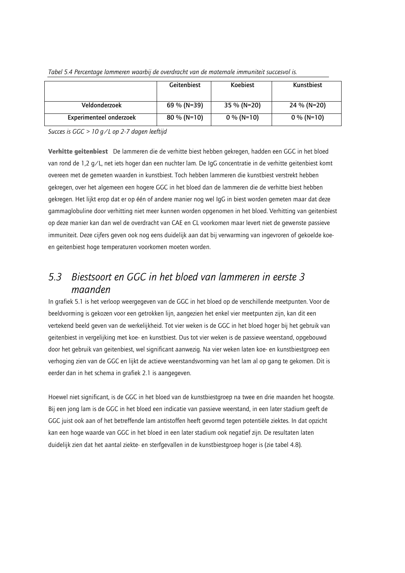|                         | Geitenbiest   | <b>Koebiest</b> | Kunstbiest   |
|-------------------------|---------------|-----------------|--------------|
|                         |               |                 |              |
| Veldonderzoek           | 69 % (N=39)   | 35 % (N=20)     | 24 % (N=20)  |
| Experimenteel onderzoek | $80\%$ (N=10) | $0\%$ (N=10)    | $0\%$ (N=10) |

Tabel 5.4 Percentage lammeren waarbij de overdracht van de maternale immuniteit succesvol is.

Succes is  $GGC > 10$  g/L op 2-7 dagen leeftijd

Verhitte geitenbiest De lammeren die de verhitte biest hebben gekregen, hadden een GGC in het bloed van rond de 1,2 g/L, net iets hoger dan een nuchter lam. De IgG concentratie in de verhitte geitenbiest komt overeen met de gemeten waarden in kunstbiest. Toch hebben lammeren die kunstbiest verstrekt hebben gekregen, over het algemeen een hogere GGC in het bloed dan de lammeren die de verhitte biest hebben gekregen. Het lijkt erop dat er op één of andere manier nog wel IgG in biest worden gemeten maar dat deze gammaglobuline door verhitting niet meer kunnen worden opgenomen in het bloed. Verhitting van geitenbiest op deze manier kan dan wel de overdracht van CAE en CL voorkomen maar levert niet de gewenste passieve immuniteit. Deze cijfers geven ook nog eens duidelijk aan dat bij verwarming van ingevroren of gekoelde koeen geitenbiest hoge temperaturen voorkomen moeten worden.

# 5.3 Biestsoort en GGC in het bloed van lammeren in eerste 3 maanden

In grafiek 5.1 is het verloop weergegeven van de GGC in het bloed op de verschillende meetpunten. Voor de beeldvorming is gekozen voor een getrokken lijn, aangezien het enkel vier meetpunten zijn, kan dit een vertekend beeld geven van de werkelijkheid. Tot vier weken is de GGC in het bloed hoger bij het gebruik van geitenbiest in vergelijking met koe- en kunstbiest. Dus tot vier weken is de passieve weerstand, opgebouwd door het gebruik van geitenbiest, wel significant aanwezig. Na vier weken laten koe- en kunstbiestgroep een verhoging zien van de GGC en lijkt de actieve weerstandsvorming van het lam al op gang te gekomen. Dit is eerder dan in het schema in grafiek 2.1 is aangegeven.

Hoewel niet significant, is de GGC in het bloed van de kunstbiestgroep na twee en drie maanden het hoogste. Bij een jong lam is de GGC in het bloed een indicatie van passieve weerstand, in een later stadium geeft de GGC juist ook aan of het betreffende lam antistoffen heeft gevormd tegen potentiële ziektes. In dat opzicht kan een hoge waarde van GGC in het bloed in een later stadium ook negatief zijn. De resultaten laten duidelijk zien dat het aantal ziekte- en sterfgevallen in de kunstbiestgroep hoger is (zie tabel 4.8).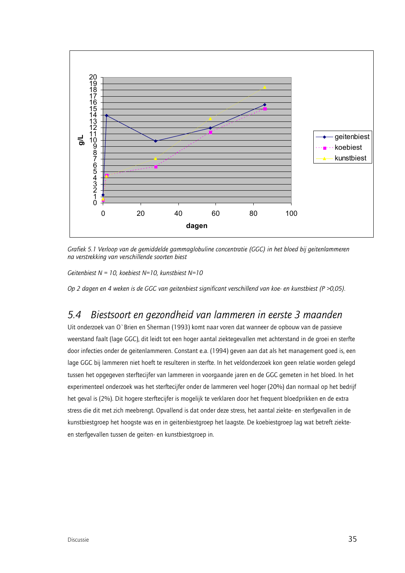

Grafiek 5.1 Verloop van de gemiddelde gammaglobuline concentratie (GGC) in het bloed bij geitenlammeren na verstrekking van verschillende soorten biest

Geitenbiest N = 10, koebiest N=10, kunstbiest N=10

Op 2 dagen en 4 weken is de GGC van geitenbiest significant verschillend van koe- en kunstbiest ( $P > 0.05$ ).

#### Biestsoort en gezondheid van lammeren in eerste 3 maanden 5.4

Uit onderzoek van O'Brien en Sherman (1993) komt naar voren dat wanneer de opbouw van de passieve weerstand faalt (lage GGC), dit leidt tot een hoger aantal ziektegevallen met achterstand in de groei en sterfte door infecties onder de geitenlammeren. Constant e.a. (1994) geven aan dat als het management goed is, een lage GGC bij lammeren niet hoeft te resulteren in sterfte. In het veldonderzoek kon geen relatie worden gelegd tussen het opgegeven sterftecijfer van lammeren in voorgaande jaren en de GGC gemeten in het bloed. In het experimenteel onderzoek was het sterftecijfer onder de lammeren veel hoger (20%) dan normaal op het bedrijf het geval is (2%). Dit hogere sterftecijfer is mogelijk te verklaren door het frequent bloedprikken en de extra stress die dit met zich meebrengt. Opvallend is dat onder deze stress, het aantal ziekte- en sterfgevallen in de kunstbiestgroep het hoogste was en in geitenbiestgroep het laagste. De koebiestgroep lag wat betreft ziekteen sterfgevallen tussen de geiten- en kunstbiestgroep in.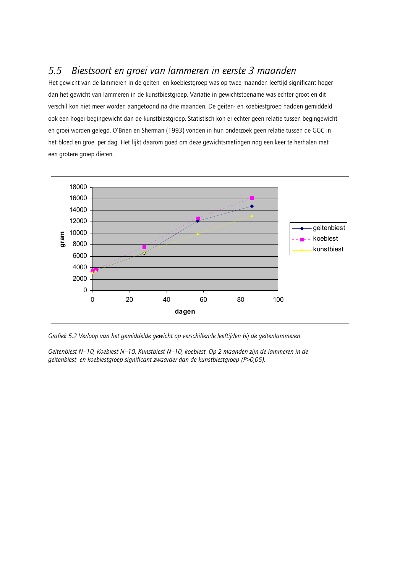#### $5.5$ Biestsoort en groei van lammeren in eerste 3 maanden

Het gewicht van de lammeren in de geiten- en koebiestgroep was op twee maanden leeftijd significant hoger dan het gewicht van lammeren in de kunstbiestgroep. Variatie in gewichtstoename was echter groot en dit verschil kon niet meer worden aangetoond na drie maanden. De geiten- en koebiestgroep hadden gemiddeld ook een hoger begingewicht dan de kunstbiestgroep. Statistisch kon er echter geen relatie tussen begingewicht en groei worden gelegd. O'Brien en Sherman (1993) vonden in hun onderzoek geen relatie tussen de GGC in het bloed en groei per dag. Het lijkt daarom goed om deze gewichtsmetingen nog een keer te herhalen met een grotere groep dieren.



Grafiek 5.2 Verloop van het gemiddelde gewicht op verschillende leeftijden bij de geitenlammeren

Geitenbiest N=10, Koebiest N=10, Kunstbiest N=10, koebiest. Op 2 maanden zijn de lammeren in de geitenbiest- en koebiestgroep significant zwaarder dan de kunstbiestgroep (P>0,05).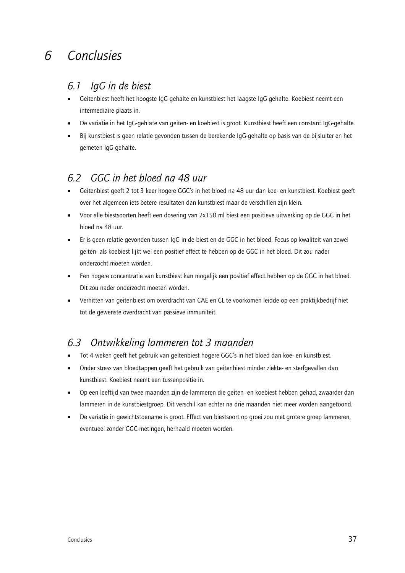### Conclusies  $\mathcal{L}$

#### laG in de biest  $6.1$

- Geitenbiest heeft het hoogste IqG-gehalte en kunstbiest het laagste IqG-gehalte. Koebiest neemt een intermediaire plaats in.
- De variatie in het IgG-gehlate van geiten- en koebiest is groot. Kunstbiest heeft een constant IgG-gehalte.
- Bij kunstbiest is geen relatie gevonden tussen de berekende IgG-gehalte op basis van de bijsluiter en het gemeten IqG-gehalte.

#### GGC in het bloed na 48 uur 62

- Geitenbiest geeft 2 tot 3 keer hogere GGC's in het bloed na 48 uur dan koe- en kunstbiest. Koebiest geeft over het algemeen iets betere resultaten dan kunstbiest maar de verschillen zijn klein.
- Voor alle biestsoorten heeft een dosering van 2x150 ml biest een positieve uitwerking op de GGC in het  $\bullet$ bloed na 48 uur.
- Er is geen relatie gevonden tussen IgG in de biest en de GGC in het bloed. Focus op kwaliteit van zowel  $\bullet$ geiten- als koebiest lijkt wel een positief effect te hebben op de GGC in het bloed. Dit zou nader onderzocht moeten worden.
- Een hogere concentratie van kunstbiest kan mogelijk een positief effect hebben op de GGC in het bloed. Dit zou nader onderzocht moeten worden.
- Verhitten van geitenbiest om overdracht van CAE en CL te voorkomen leidde op een praktijkbedrijf niet tot de gewenste overdracht van passieve immuniteit.

#### Ontwikkeling lammeren tot 3 maanden 6.3

- Tot 4 weken geeft het gebruik van geitenbiest hogere GGC's in het bloed dan koe- en kunstbiest.  $\bullet$
- Onder stress van bloedtappen geeft het gebruik van geitenbiest minder ziekte- en sterfgevallen dan kunstbiest. Koebiest neemt een tussenpositie in.
- Op een leeftijd van twee maanden zijn de lammeren die geiten- en koebiest hebben gehad, zwaarder dan  $\bullet$ lammeren in de kunstbiestgroep. Dit verschil kan echter na drie maanden niet meer worden aangetoond.
- De variatie in gewichtstoename is groot. Effect van biestsoort op groei zou met grotere groep lammeren,  $\bullet$ eventueel zonder GGC-metingen, herhaald moeten worden.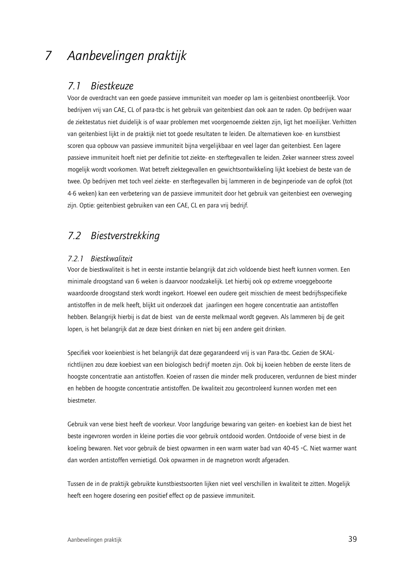#### Aanbevelingen praktijk 7

#### **Biestkeuze**  $7.1$

Voor de overdracht van een goede passieve immuniteit van moeder op lam is geitenbiest onontbeerlijk. Voor bedrijven vrij van CAE, CL of para-tbc is het gebruik van geitenbiest dan ook aan te raden. Op bedrijven waar de ziektestatus niet duidelijk is of waar problemen met voorgenoemde ziekten zijn, ligt het moeilijker. Verhitten van geitenbiest lijkt in de praktijk niet tot goede resultaten te leiden. De alternatieven koe- en kunstbiest scoren qua opbouw van passieve immuniteit bijna vergelijkbaar en veel lager dan geitenbiest. Een lagere passieve immuniteit hoeft niet per definitie tot ziekte- en sterftegevallen te leiden. Zeker wanneer stress zoveel mogelijk wordt voorkomen. Wat betreft ziektegevallen en gewichtsontwikkeling lijkt koebiest de beste van de twee. Op bedrijven met toch veel ziekte- en sterftegevallen bij lammeren in de beginperiode van de opfok (tot 4-6 weken) kan een verbetering van de passieve immuniteit door het gebruik van geitenbiest een overweging zijn. Optie: geitenbiest gebruiken van een CAE, CL en para vrij bedrijf.

# 7.2 Biestverstrekking

# 7.2.1 Biestkwaliteit

Voor de biestkwaliteit is het in eerste instantie belangrijk dat zich voldoende biest heeft kunnen vormen. Een minimale droogstand van 6 weken is daarvoor noodzakelijk. Let hierbij ook op extreme vroeggeboorte waardoorde droogstand sterk wordt ingekort. Hoewel een oudere geit misschien de meest bedrijfsspecifieke antistoffen in de melk heeft, blijkt uit onderzoek dat jaarlingen een hogere concentratie aan antistoffen hebben. Belangrijk hierbij is dat de biest van de eerste melkmaal wordt gegeven. Als lammeren bij de geit lopen, is het belangrijk dat ze deze biest drinken en niet bij een andere geit drinken.

Specifiek voor koeienbiest is het belangrijk dat deze gegarandeerd vrij is van Para-tbc. Gezien de SKALrichtlijnen zou deze koebiest van een biologisch bedrijf moeten zijn. Ook bij koeien hebben de eerste liters de hoogste concentratie aan antistoffen. Koeien of rassen die minder melk produceren, verdunnen de biest minder en hebben de hoogste concentratie antistoffen. De kwaliteit zou gecontroleerd kunnen worden met een biestmeter.

Gebruik van verse biest heeft de voorkeur. Voor langdurige bewaring van geiten- en koebiest kan de biest het beste ingevroren worden in kleine porties die voor gebruik ontdooid worden. Ontdooide of verse biest in de koeling bewaren. Net voor gebruik de biest opwarmen in een warm water bad van 40-45 °C. Niet warmer want dan worden antistoffen vernietigd. Ook opwarmen in de magnetron wordt afgeraden.

Tussen de in de praktijk gebruikte kunstbiestsoorten lijken niet veel verschillen in kwaliteit te zitten. Mogelijk heeft een hogere dosering een positief effect op de passieve immuniteit.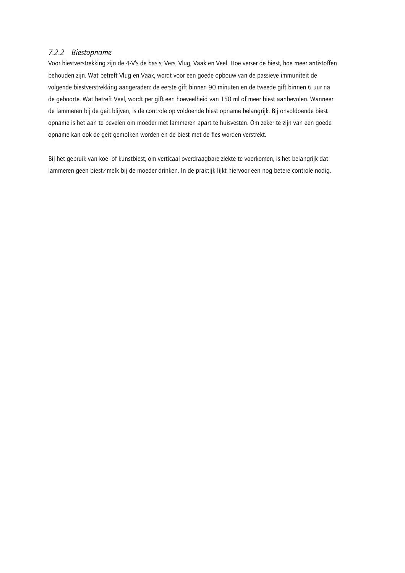## 7.2.2 Biestopname

Voor biestverstrekking zijn de 4-V's de basis; Vers, Vlug, Vaak en Veel. Hoe verser de biest, hoe meer antistoffen behouden zijn. Wat betreft Vlug en Vaak, wordt voor een goede opbouw van de passieve immuniteit de volgende biestverstrekking aangeraden: de eerste gift binnen 90 minuten en de tweede gift binnen 6 uur na de geboorte. Wat betreft Veel, wordt per gift een hoeveelheid van 150 ml of meer biest aanbevolen. Wanneer de lammeren bij de geit blijven, is de controle op voldoende biest opname belangrijk. Bij onvoldoende biest opname is het aan te bevelen om moeder met lammeren apart te huisvesten. Om zeker te zijn van een goede opname kan ook de geit gemolken worden en de biest met de fles worden verstrekt.

Bij het gebruik van koe- of kunstbiest, om verticaal overdraagbare ziekte te voorkomen, is het belangrijk dat lammeren geen biest/melk bij de moeder drinken. In de praktijk lijkt hiervoor een nog betere controle nodig.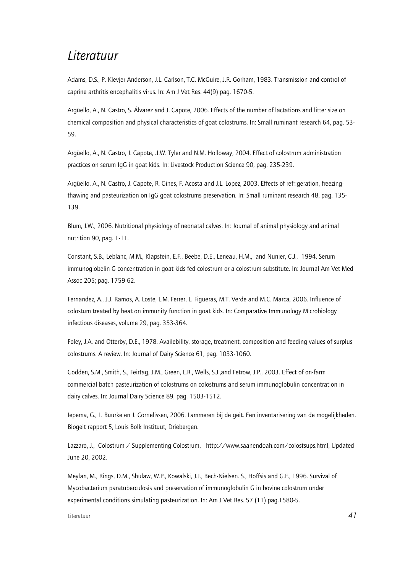# Literatuur

Adams, D.S., P. Klevjer-Anderson, J.L. Carlson, T.C. McGuire, J.R. Gorham, 1983. Transmission and control of caprine arthritis encephalitis virus. In: Am J Vet Res. 44(9) pag. 1670-5.

Argüello, A., N. Castro, S. Álvarez and J. Capote, 2006. Effects of the number of lactations and litter size on chemical composition and physical characteristics of goat colostrums. In: Small ruminant research 64, pag. 53-59.

Arqüello, A., N. Castro, J. Capote, J.W. Tyler and N.M. Holloway, 2004. Effect of colostrum administration practices on serum IgG in goat kids. In: Livestock Production Science 90, pag. 235-239.

Arqüello, A., N. Castro, J. Capote, R. Gines, F. Acosta and J.L. Lopez, 2003. Effects of refrigeration, freezingthawing and pasteurization on IqG goat colostrums preservation. In: Small ruminant research 48, pag. 135-139.

Blum, J.W., 2006. Nutritional physiology of neonatal calves. In: Journal of animal physiology and animal nutrition 90, pag. 1-11.

Constant, S.B., Leblanc, M.M., Klapstein, E.F., Beebe, D.E., Leneau, H.M., and Nunier, C.J., 1994. Serum immunoglobelin G concentration in goat kids fed colostrum or a colostrum substitute. In: Journal Am Vet Med Assoc 205; pag. 1759-62.

Fernandez, A., J.J. Ramos, A. Loste, L.M. Ferrer, L. Figueras, M.T. Verde and M.C. Marca, 2006. Influence of colostum treated by heat on immunity function in goat kids. In: Comparative Immunology Microbiology infectious diseases, volume 29, pag. 353-364.

Foley, J.A. and Otterby, D.E., 1978. Availebility, storage, treatment, composition and feeding values of surplus colostrums. A review. In: Journal of Dairy Science 61, pag. 1033-1060.

Godden, S.M., Smith, S., Feirtag, J.M., Green, L.R., Wells, S.J.,and Fetrow, J.P., 2003. Effect of on-farm commercial batch pasteurization of colostrums on colostrums and serum immunoqlobulin concentration in dairy calves. In: Journal Dairy Science 89, paq. 1503-1512.

lepema, G., L. Buurke en J. Cornelissen, 2006. Lammeren bij de geit. Een inventarisering van de mogelijkheden. Biogeit rapport 5, Louis Bolk Instituut, Driebergen.

Lazzaro, J., Colostrum / Supplementing Colostrum, http://www.saanendoah.com/colostsups.html, Updated June 20, 2002.

Meylan, M., Rings, D.M., Shulaw, W.P., Kowalski, J.J., Bech-Nielsen. S., Hoffsis and G.F., 1996. Survival of Mycobacterium paratuberculosis and preservation of immunoglobulin G in bovine colostrum under experimental conditions simulating pasteurization. In: Am J Vet Res. 57 (11) pag.1580-5.

Literatuur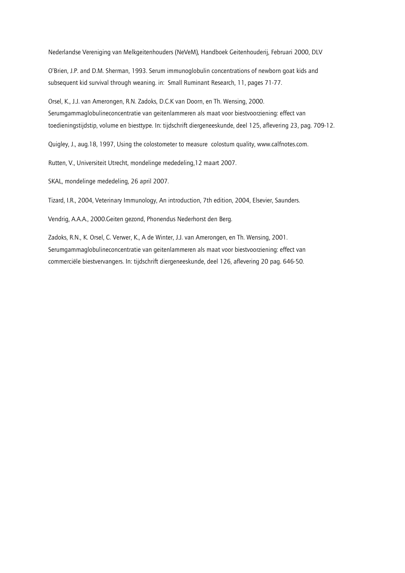Nederlandse Vereniging van Melkgeitenhouders (NeVeM), Handboek Geitenhouderij, Februari 2000, DLV

O'Brien, J.P. and D.M. Sherman, 1993. Serum immunoglobulin concentrations of newborn goat kids and subsequent kid survival through weaning. in: Small Ruminant Research, 11, pages 71-77.

Orsel, K., J.J. van Amerongen, R.N. Zadoks, D.C.K van Doorn, en Th. Wensing, 2000. Serumgammaglobulineconcentratie van geitenlammeren als maat voor biestvoorziening: effect van toedieningstijdstip, volume en biesttype. In: tijdschrift diergeneeskunde, deel 125, aflevering 23, pag. 709-12.

Quigley, J., aug.18, 1997, Using the colostometer to measure colostum quality, www.calfnotes.com.

Rutten, V., Universiteit Utrecht, mondelinge mededeling. 12 maart 2007.

SKAL, mondelinge mededeling, 26 april 2007.

Tizard, I.R., 2004, Veterinary Immunology, An introduction, 7th edition, 2004, Elsevier, Saunders.

Vendrig, A.A.A., 2000. Geiten gezond, Phonendus Nederhorst den Berg.

Zadoks, R.N., K. Orsel, C. Verwer, K., A de Winter, J.J. van Amerongen, en Th. Wensing, 2001. Serumgammaglobulineconcentratie van geitenlammeren als maat voor biestvoorziening: effect van commerciële biestvervangers. In: tijdschrift diergeneeskunde, deel 126, aflevering 20 pag. 646-50.